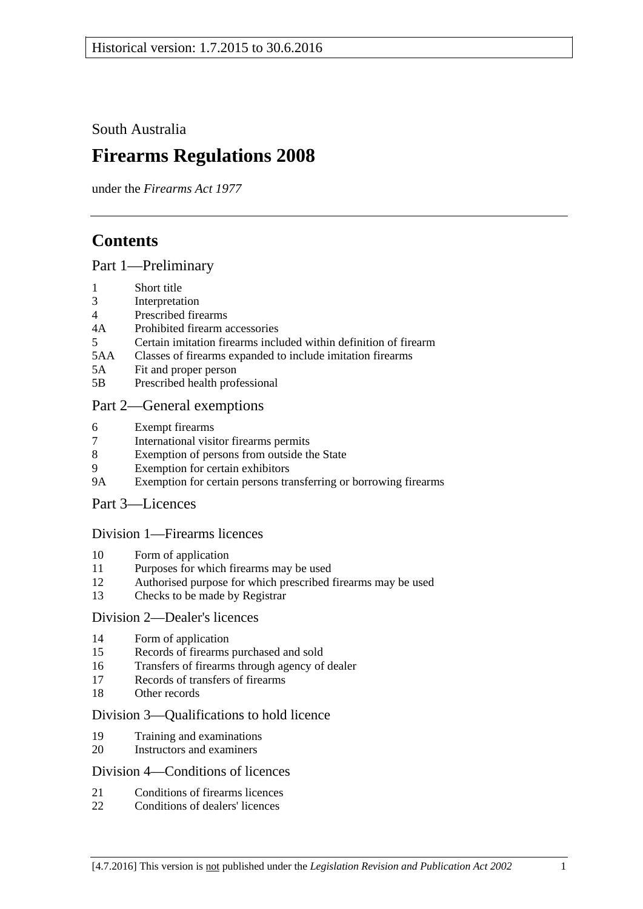South Australia

# **Firearms Regulations 2008**

under the *Firearms Act 1977*

## **Contents**

#### [Part 1—Preliminary](#page-2-0)

- 1 [Short title](#page-2-1)
- 3 [Interpretation](#page-2-2)
- 4 [Prescribed firearms](#page-3-0)
- 4A [Prohibited firearm accessories](#page-3-1)
- 5 [Certain imitation firearms included within definition of firearm](#page-4-0)
- 5AA [Classes of firearms expanded to include imitation firearms](#page-5-0)
- 5A [Fit and proper person](#page-5-1)
- 5B [Prescribed health professional](#page-6-0)

### [Part 2—General exemptions](#page-6-1)

- 6 [Exempt firearms](#page-6-2)
- 7 [International visitor firearms permits](#page-7-0)
- 8 [Exemption of persons from outside the State](#page-8-0)
- 9 [Exemption for certain exhibitors](#page-8-1)
- 9A [Exemption for certain persons transferring or borrowing firearms](#page-9-0)

#### [Part 3—Licences](#page-9-1)

#### [Division 1—Firearms licences](#page-9-2)

- 10 [Form of application](#page-9-3)
- 11 [Purposes for which firearms may be used](#page-9-4)
- 12 [Authorised purpose for which prescribed firearms may be used](#page-10-0)
- 13 [Checks to be made by Registrar](#page-10-1)

#### [Division 2—Dealer's licences](#page-10-2)

- 14 [Form of application](#page-10-3)
- 15 [Records of firearms](#page-10-4) purchased and sold
- 16 [Transfers of firearms through agency of dealer](#page-11-0)
- 17 [Records of transfers of firearms](#page-11-1)
- 18 [Other records](#page-12-0)

#### [Division 3—Qualifications to hold licence](#page-12-1)

- 19 [Training and examinations](#page-12-2)
- 20 [Instructors and examiners](#page-12-3)

#### [Division 4—Conditions of licences](#page-13-0)

- 21 [Conditions of firearms licences](#page-13-1)
- 22 [Conditions of dealers' licences](#page-16-0)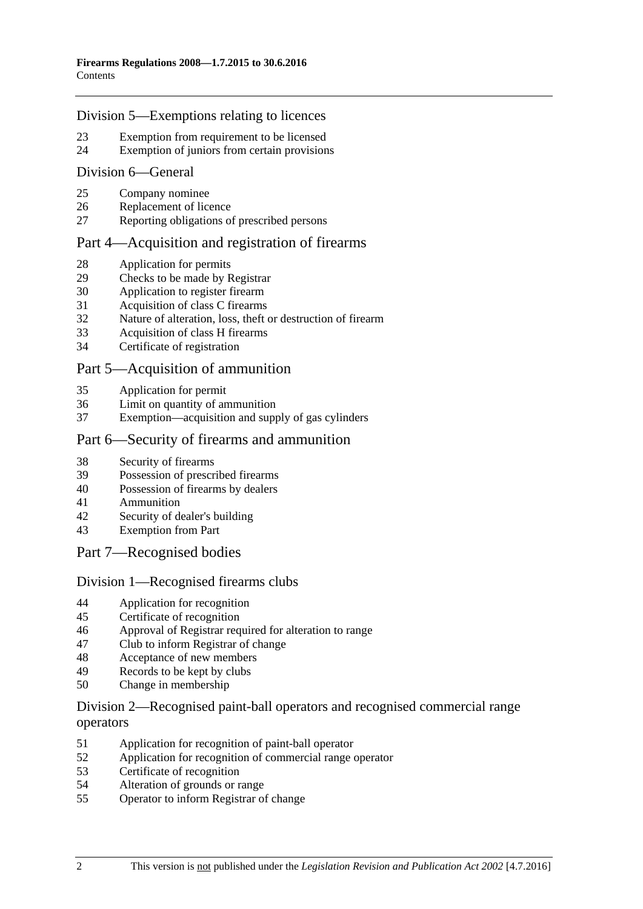#### [Division 5—Exemptions relating to licences](#page-17-0)

- [Exemption from requirement to be licensed](#page-17-1)
- [Exemption of juniors from certain provisions](#page-18-0)

#### [Division 6—General](#page-19-0)

- [Company nominee](#page-19-1)
- [Replacement of licence](#page-19-2)
- [Reporting obligations of prescribed persons](#page-19-3)

#### [Part 4—Acquisition and registration of firearms](#page-20-0)

- [Application for permits](#page-20-1)
- [Checks to be made by Registrar](#page-20-2)
- [Application to register](#page-20-3) firearm
- [Acquisition of class C firearms](#page-20-4)
- [Nature of alteration, loss, theft or destruction of firearm](#page-21-0)
- [Acquisition of class H firearms](#page-21-1)
- [Certificate of registration](#page-21-2)

#### [Part 5—Acquisition of ammunition](#page-22-0)

- [Application for permit](#page-22-1)
- [Limit on quantity of ammunition](#page-22-2)<br>37 Exemption—acquisition and supply
- [Exemption—acquisition and supply of gas cylinders](#page-22-3)

#### [Part 6—Security of firearms and ammunition](#page-22-4)

- [Security of firearms](#page-22-5)
- [Possession of prescribed firearms](#page-23-0)
- [Possession of firearms by dealers](#page-23-1)
- [Ammunition](#page-23-2)
- [Security of dealer's building](#page-23-3)
- [Exemption from Part](#page-23-4)
- [Part 7—Recognised bodies](#page-24-0)

#### [Division 1—Recognised firearms clubs](#page-24-1)

- [Application for recognition](#page-24-2)
- [Certificate of recognition](#page-24-3)
- [Approval of Registrar required for alteration to range](#page-24-4)<br>47 Club to inform Registrar of change
- [Club to inform Registrar of change](#page-25-0)
- [Acceptance of new members](#page-25-1)
- [Records to be kept by clubs](#page-25-2)
- [Change in membership](#page-26-0)

#### [Division 2—Recognised paint-ball operators and recognised commercial range](#page-26-1)  [operators](#page-26-1)

- [Application for recognition of paint-ball operator](#page-26-2)
- [Application for recognition of commercial range operator](#page-26-3)
- [Certificate of recognition](#page-27-0)
- [Alteration of grounds or range](#page-27-1)
- [Operator to inform Registrar of change](#page-27-2)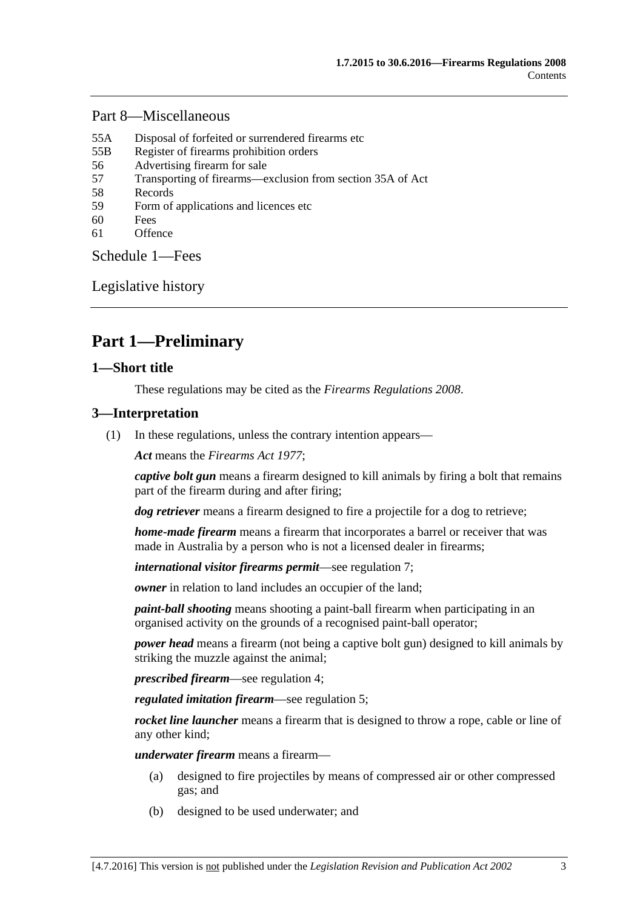#### [Part 8—Miscellaneous](#page-28-0)

- 55A [Disposal of forfeited or surrendered firearms etc](#page-28-1)
- 55B [Register of firearms prohibition orders](#page-28-2)
- 56 [Advertising firearm for sale](#page-28-3)
- 57 [Transporting of firearms—exclusion from section 35A of Act](#page-29-0)
- 58 [Records](#page-29-1)
- 59 [Form of applications and licences etc](#page-29-2)
- 60 [Fees](#page-29-3)
- 61 [Offence](#page-29-4)

[Schedule](#page-29-5) 1—Fees

[Legislative history](#page-31-0)

## <span id="page-2-0"></span>**Part 1—Preliminary**

#### <span id="page-2-1"></span>**1—Short title**

These regulations may be cited as the *Firearms Regulations 2008*.

#### <span id="page-2-2"></span>**3—Interpretation**

(1) In these regulations, unless the contrary intention appears—

*Act* means the *[Firearms Act](http://www.legislation.sa.gov.au/index.aspx?action=legref&type=act&legtitle=Firearms%20Act%201977) 1977*;

*captive bolt gun* means a firearm designed to kill animals by firing a bolt that remains part of the firearm during and after firing;

*dog retriever* means a firearm designed to fire a projectile for a dog to retrieve;

*home-made firearm* means a firearm that incorporates a barrel or receiver that was made in Australia by a person who is not a licensed dealer in firearms;

*international visitor firearms permit*—see [regulation](#page-7-0) 7;

*owner* in relation to land includes an occupier of the land:

*paint-ball shooting* means shooting a paint-ball firearm when participating in an organised activity on the grounds of a recognised paint-ball operator;

*power head* means a firearm (not being a captive bolt gun) designed to kill animals by striking the muzzle against the animal;

*prescribed firearm*—see [regulation](#page-3-0) 4;

*regulated imitation firearm*—see regulation 5;

*rocket line launcher* means a firearm that is designed to throw a rope, cable or line of any other kind;

*underwater firearm* means a firearm—

- (a) designed to fire projectiles by means of compressed air or other compressed gas; and
- (b) designed to be used underwater; and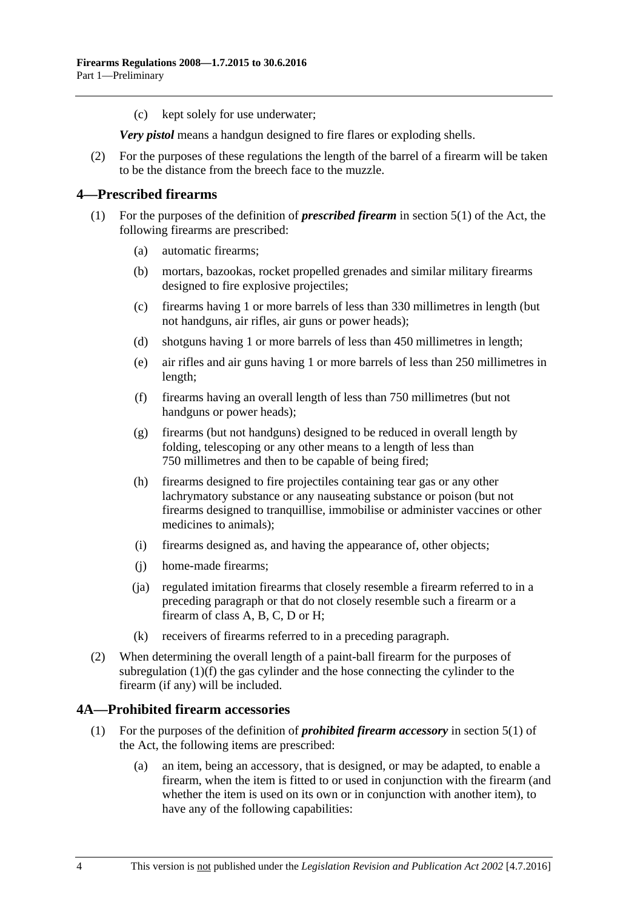(c) kept solely for use underwater;

*Very pistol* means a handgun designed to fire flares or exploding shells.

(2) For the purposes of these regulations the length of the barrel of a firearm will be taken to be the distance from the breech face to the muzzle.

#### <span id="page-3-0"></span>**4—Prescribed firearms**

- <span id="page-3-2"></span>(1) For the purposes of the definition of *prescribed firearm* in section 5(1) of the Act, the following firearms are prescribed:
	- (a) automatic firearms;
	- (b) mortars, bazookas, rocket propelled grenades and similar military firearms designed to fire explosive projectiles;
	- (c) firearms having 1 or more barrels of less than 330 millimetres in length (but not handguns, air rifles, air guns or power heads);
	- (d) shotguns having 1 or more barrels of less than 450 millimetres in length;
	- (e) air rifles and air guns having 1 or more barrels of less than 250 millimetres in length;
	- (f) firearms having an overall length of less than 750 millimetres (but not handguns or power heads);
	- (g) firearms (but not handguns) designed to be reduced in overall length by folding, telescoping or any other means to a length of less than 750 millimetres and then to be capable of being fired;
	- (h) firearms designed to fire projectiles containing tear gas or any other lachrymatory substance or any nauseating substance or poison (but not firearms designed to tranquillise, immobilise or administer vaccines or other medicines to animals);
	- (i) firearms designed as, and having the appearance of, other objects;
	- (j) home-made firearms;
	- (ja) regulated imitation firearms that closely resemble a firearm referred to in a preceding paragraph or that do not closely resemble such a firearm or a firearm of class A, B, C, D or H;
	- (k) receivers of firearms referred to in a preceding paragraph.
- (2) When determining the overall length of a paint-ball firearm for the purposes of [subregulation](#page-3-2) (1)(f) the gas cylinder and the hose connecting the cylinder to the firearm (if any) will be included.

#### <span id="page-3-1"></span>**4A—Prohibited firearm accessories**

- (1) For the purposes of the definition of *prohibited firearm accessory* in section 5(1) of the Act, the following items are prescribed:
	- (a) an item, being an accessory, that is designed, or may be adapted, to enable a firearm, when the item is fitted to or used in conjunction with the firearm (and whether the item is used on its own or in conjunction with another item), to have any of the following capabilities: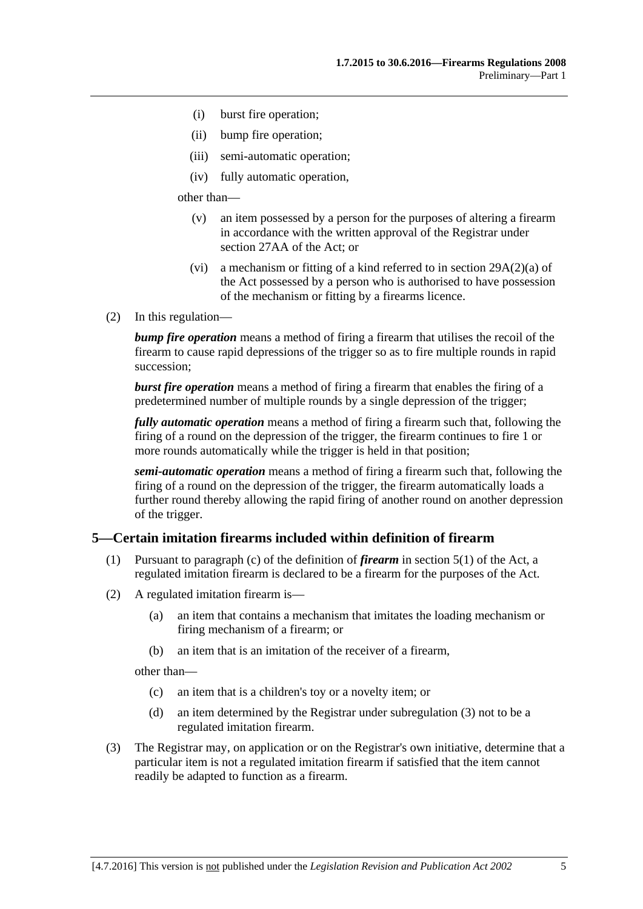- (i) burst fire operation;
- (ii) bump fire operation;
- (iii) semi-automatic operation;
- (iv) fully automatic operation,

other than—

- (v) an item possessed by a person for the purposes of altering a firearm in accordance with the written approval of the Registrar under section 27AA of the Act; or
- (vi) a mechanism or fitting of a kind referred to in section 29A(2)(a) of the Act possessed by a person who is authorised to have possession of the mechanism or fitting by a firearms licence.
- (2) In this regulation—

*bump fire operation* means a method of firing a firearm that utilises the recoil of the firearm to cause rapid depressions of the trigger so as to fire multiple rounds in rapid succession;

*burst fire operation* means a method of firing a firearm that enables the firing of a predetermined number of multiple rounds by a single depression of the trigger;

*fully automatic operation* means a method of firing a firearm such that, following the firing of a round on the depression of the trigger, the firearm continues to fire 1 or more rounds automatically while the trigger is held in that position;

*semi-automatic operation* means a method of firing a firearm such that, following the firing of a round on the depression of the trigger, the firearm automatically loads a further round thereby allowing the rapid firing of another round on another depression of the trigger.

#### <span id="page-4-0"></span>**5—Certain imitation firearms included within definition of firearm**

- (1) Pursuant to paragraph (c) of the definition of *firearm* in section 5(1) of the Act, a regulated imitation firearm is declared to be a firearm for the purposes of the Act.
- <span id="page-4-2"></span>(2) A regulated imitation firearm is—
	- (a) an item that contains a mechanism that imitates the loading mechanism or firing mechanism of a firearm; or
	- (b) an item that is an imitation of the receiver of a firearm,

other than—

- (c) an item that is a children's toy or a novelty item; or
- (d) an item determined by the Registrar under [subregulation](#page-4-1) (3) not to be a regulated imitation firearm.
- <span id="page-4-1"></span>(3) The Registrar may, on application or on the Registrar's own initiative, determine that a particular item is not a regulated imitation firearm if satisfied that the item cannot readily be adapted to function as a firearm.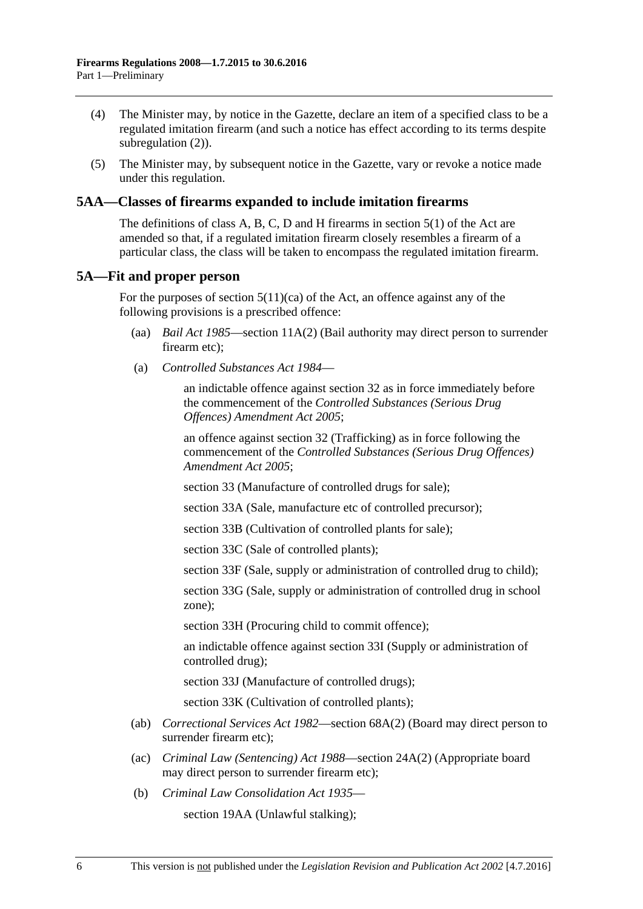- (4) The Minister may, by notice in the Gazette, declare an item of a specified class to be a regulated imitation firearm (and such a notice has effect according to its terms despite [subregulation](#page-4-2)  $(2)$ ).
- (5) The Minister may, by subsequent notice in the Gazette, vary or revoke a notice made under this regulation.

#### <span id="page-5-0"></span>**5AA—Classes of firearms expanded to include imitation firearms**

The definitions of class A, B, C, D and H firearms in section 5(1) of the Act are amended so that, if a regulated imitation firearm closely resembles a firearm of a particular class, the class will be taken to encompass the regulated imitation firearm.

#### <span id="page-5-1"></span>**5A—Fit and proper person**

For the purposes of section  $5(11)(ca)$  of the Act, an offence against any of the following provisions is a prescribed offence:

- (aa) *[Bail Act](http://www.legislation.sa.gov.au/index.aspx?action=legref&type=act&legtitle=Bail%20Act%201985) 1985*—section 11A(2) (Bail authority may direct person to surrender firearm etc);
- (a) *[Controlled Substances Act](http://www.legislation.sa.gov.au/index.aspx?action=legref&type=act&legtitle=Controlled%20Substances%20Act%201984) 1984*—

an indictable offence against section 32 as in force immediately before the commencement of the *[Controlled Substances \(Serious Drug](http://www.legislation.sa.gov.au/index.aspx?action=legref&type=act&legtitle=Controlled%20Substances%20(Serious%20Drug%20Offences)%20Amendment%20Act%202005)  [Offences\) Amendment Act](http://www.legislation.sa.gov.au/index.aspx?action=legref&type=act&legtitle=Controlled%20Substances%20(Serious%20Drug%20Offences)%20Amendment%20Act%202005) 2005*;

an offence against section 32 (Trafficking) as in force following the commencement of the *[Controlled Substances \(Serious Drug Offences\)](http://www.legislation.sa.gov.au/index.aspx?action=legref&type=act&legtitle=Controlled%20Substances%20(Serious%20Drug%20Offences)%20Amendment%20Act%202005)  [Amendment Act](http://www.legislation.sa.gov.au/index.aspx?action=legref&type=act&legtitle=Controlled%20Substances%20(Serious%20Drug%20Offences)%20Amendment%20Act%202005) 2005*;

section 33 (Manufacture of controlled drugs for sale);

section 33A (Sale, manufacture etc of controlled precursor);

section 33B (Cultivation of controlled plants for sale);

section 33C (Sale of controlled plants);

section 33F (Sale, supply or administration of controlled drug to child);

section 33G (Sale, supply or administration of controlled drug in school zone);

section 33H (Procuring child to commit offence);

an indictable offence against section 33I (Supply or administration of controlled drug);

section 33J (Manufacture of controlled drugs);

section 33K (Cultivation of controlled plants);

- (ab) *[Correctional Services Act](http://www.legislation.sa.gov.au/index.aspx?action=legref&type=act&legtitle=Correctional%20Services%20Act%201982) 1982*—section 68A(2) (Board may direct person to surrender firearm etc);
- (ac) *[Criminal Law \(Sentencing\) Act](http://www.legislation.sa.gov.au/index.aspx?action=legref&type=act&legtitle=Criminal%20Law%20(Sentencing)%20Act%201988) 1988*—section 24A(2) (Appropriate board may direct person to surrender firearm etc);
- (b) *[Criminal Law Consolidation Act](http://www.legislation.sa.gov.au/index.aspx?action=legref&type=act&legtitle=Criminal%20Law%20Consolidation%20Act%201935) 1935*—

section 19AA (Unlawful stalking);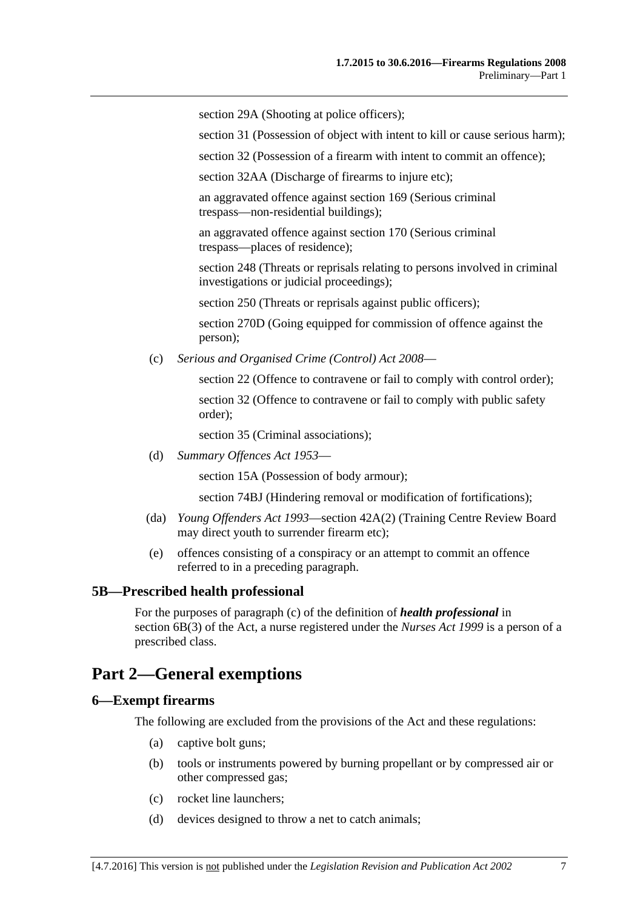section 29A (Shooting at police officers);

section 31 (Possession of object with intent to kill or cause serious harm);

section 32 (Possession of a firearm with intent to commit an offence);

section 32AA (Discharge of firearms to injure etc);

an aggravated offence against section 169 (Serious criminal trespass—non-residential buildings);

an aggravated offence against section 170 (Serious criminal trespass—places of residence);

section 248 (Threats or reprisals relating to persons involved in criminal investigations or judicial proceedings);

section 250 (Threats or reprisals against public officers);

section 270D (Going equipped for commission of offence against the person);

(c) *[Serious and Organised Crime \(Control\) Act](http://www.legislation.sa.gov.au/index.aspx?action=legref&type=act&legtitle=Serious%20and%20Organised%20Crime%20(Control)%20Act%202008) 2008*—

section 22 (Offence to contravene or fail to comply with control order); section 32 (Offence to contravene or fail to comply with public safety order);

section 35 (Criminal associations);

(d) *[Summary Offences Act](http://www.legislation.sa.gov.au/index.aspx?action=legref&type=act&legtitle=Summary%20Offences%20Act%201953) 1953*—

section 15A (Possession of body armour);

section 74BJ (Hindering removal or modification of fortifications);

- (da) *[Young Offenders Act](http://www.legislation.sa.gov.au/index.aspx?action=legref&type=act&legtitle=Young%20Offenders%20Act%201993) 1993*—section 42A(2) (Training Centre Review Board may direct youth to surrender firearm etc);
- (e) offences consisting of a conspiracy or an attempt to commit an offence referred to in a preceding paragraph.

#### <span id="page-6-0"></span>**5B—Prescribed health professional**

For the purposes of paragraph (c) of the definition of *health professional* in section 6B(3) of the Act, a nurse registered under the *[Nurses Act](http://www.legislation.sa.gov.au/index.aspx?action=legref&type=act&legtitle=Nurses%20Act%201999) 1999* is a person of a prescribed class.

## <span id="page-6-1"></span>**Part 2—General exemptions**

#### <span id="page-6-2"></span>**6—Exempt firearms**

The following are excluded from the provisions of the Act and these regulations:

- (a) captive bolt guns;
- (b) tools or instruments powered by burning propellant or by compressed air or other compressed gas;
- (c) rocket line launchers;
- (d) devices designed to throw a net to catch animals;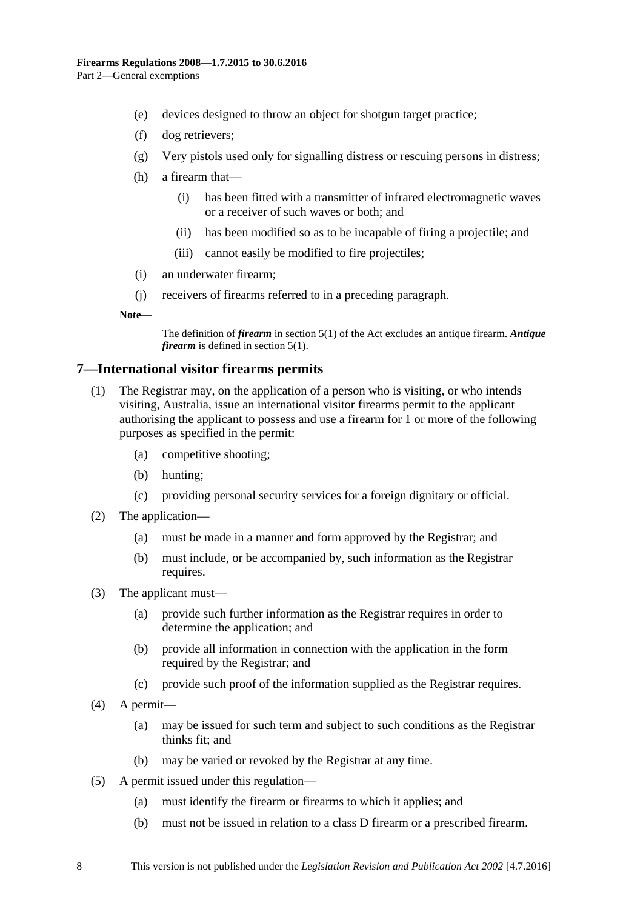- (e) devices designed to throw an object for shotgun target practice;
- (f) dog retrievers;
- (g) Very pistols used only for signalling distress or rescuing persons in distress;
- (h) a firearm that—
	- (i) has been fitted with a transmitter of infrared electromagnetic waves or a receiver of such waves or both; and
	- (ii) has been modified so as to be incapable of firing a projectile; and
	- (iii) cannot easily be modified to fire projectiles;
- (i) an underwater firearm;
- (j) receivers of firearms referred to in a preceding paragraph.

**Note—**

The definition of *firearm* in section 5(1) of the Act excludes an antique firearm. *Antique firearm* is defined in section 5(1).

#### <span id="page-7-0"></span>**7—International visitor firearms permits**

- (1) The Registrar may, on the application of a person who is visiting, or who intends visiting, Australia, issue an international visitor firearms permit to the applicant authorising the applicant to possess and use a firearm for 1 or more of the following purposes as specified in the permit:
	- (a) competitive shooting;
	- (b) hunting;
	- (c) providing personal security services for a foreign dignitary or official.
- (2) The application—
	- (a) must be made in a manner and form approved by the Registrar; and
	- (b) must include, or be accompanied by, such information as the Registrar requires.
- (3) The applicant must—
	- (a) provide such further information as the Registrar requires in order to determine the application; and
	- (b) provide all information in connection with the application in the form required by the Registrar; and
	- (c) provide such proof of the information supplied as the Registrar requires.
- (4) A permit—
	- (a) may be issued for such term and subject to such conditions as the Registrar thinks fit; and
	- (b) may be varied or revoked by the Registrar at any time.
- (5) A permit issued under this regulation—
	- (a) must identify the firearm or firearms to which it applies; and
	- (b) must not be issued in relation to a class D firearm or a prescribed firearm.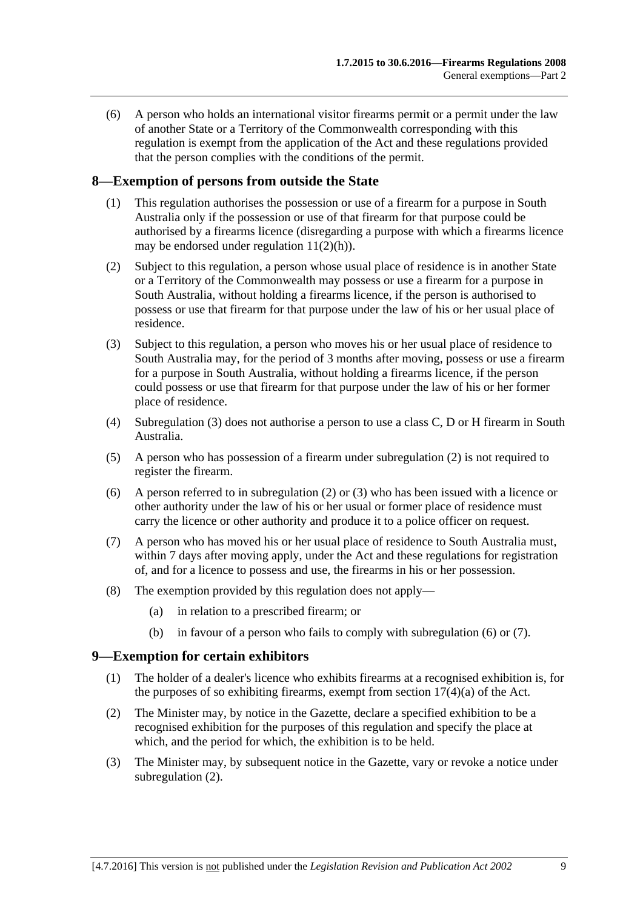(6) A person who holds an international visitor firearms permit or a permit under the law of another State or a Territory of the Commonwealth corresponding with this regulation is exempt from the application of the Act and these regulations provided that the person complies with the conditions of the permit.

#### <span id="page-8-0"></span>**8—Exemption of persons from outside the State**

- (1) This regulation authorises the possession or use of a firearm for a purpose in South Australia only if the possession or use of that firearm for that purpose could be authorised by a firearms licence (disregarding a purpose with which a firearms licence may be endorsed under [regulation](#page-10-5)  $11(2)(h)$ ).
- <span id="page-8-3"></span>(2) Subject to this regulation, a person whose usual place of residence is in another State or a Territory of the Commonwealth may possess or use a firearm for a purpose in South Australia, without holding a firearms licence, if the person is authorised to possess or use that firearm for that purpose under the law of his or her usual place of residence.
- <span id="page-8-2"></span>(3) Subject to this regulation, a person who moves his or her usual place of residence to South Australia may, for the period of 3 months after moving, possess or use a firearm for a purpose in South Australia, without holding a firearms licence, if the person could possess or use that firearm for that purpose under the law of his or her former place of residence.
- (4) [Subregulation \(3\)](#page-8-2) does not authorise a person to use a class C, D or H firearm in South Australia.
- (5) A person who has possession of a firearm under [subregulation](#page-8-3) (2) is not required to register the firearm.
- <span id="page-8-4"></span>(6) A person referred to in [subregulation](#page-8-3) (2) or [\(3\)](#page-8-2) who has been issued with a licence or other authority under the law of his or her usual or former place of residence must carry the licence or other authority and produce it to a police officer on request.
- <span id="page-8-5"></span>(7) A person who has moved his or her usual place of residence to South Australia must, within 7 days after moving apply, under the Act and these regulations for registration of, and for a licence to possess and use, the firearms in his or her possession.
- (8) The exemption provided by this regulation does not apply—
	- (a) in relation to a prescribed firearm; or
	- (b) in favour of a person who fails to comply with [subregulation](#page-8-4) (6) or [\(7\).](#page-8-5)

#### <span id="page-8-1"></span>**9—Exemption for certain exhibitors**

- (1) The holder of a dealer's licence who exhibits firearms at a recognised exhibition is, for the purposes of so exhibiting firearms, exempt from section  $17(4)(a)$  of the Act.
- <span id="page-8-6"></span>(2) The Minister may, by notice in the Gazette, declare a specified exhibition to be a recognised exhibition for the purposes of this regulation and specify the place at which, and the period for which, the exhibition is to be held.
- (3) The Minister may, by subsequent notice in the Gazette, vary or revoke a notice under [subregulation](#page-8-6) (2).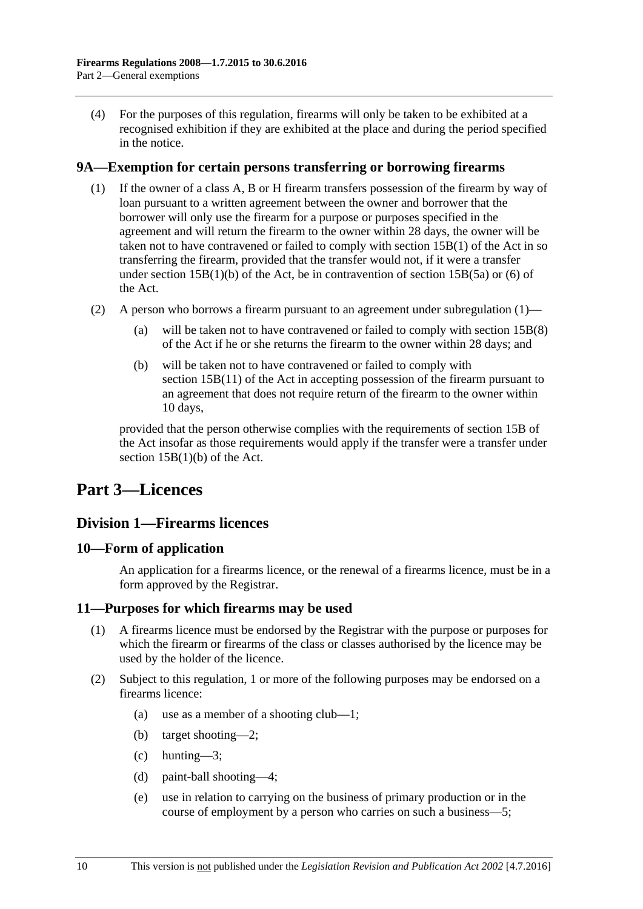(4) For the purposes of this regulation, firearms will only be taken to be exhibited at a recognised exhibition if they are exhibited at the place and during the period specified in the notice.

#### <span id="page-9-5"></span><span id="page-9-0"></span>**9A—Exemption for certain persons transferring or borrowing firearms**

- (1) If the owner of a class A, B or H firearm transfers possession of the firearm by way of loan pursuant to a written agreement between the owner and borrower that the borrower will only use the firearm for a purpose or purposes specified in the agreement and will return the firearm to the owner within 28 days, the owner will be taken not to have contravened or failed to comply with section 15B(1) of the Act in so transferring the firearm, provided that the transfer would not, if it were a transfer under section  $15B(1)(b)$  of the Act, be in contravention of section  $15B(5a)$  or (6) of the Act.
- (2) A person who borrows a firearm pursuant to an agreement under [subregulation](#page-9-5) (1)
	- will be taken not to have contravened or failed to comply with section  $15B(8)$ of the Act if he or she returns the firearm to the owner within 28 days; and
	- (b) will be taken not to have contravened or failed to comply with section 15B(11) of the Act in accepting possession of the firearm pursuant to an agreement that does not require return of the firearm to the owner within 10 days,

provided that the person otherwise complies with the requirements of section 15B of the Act insofar as those requirements would apply if the transfer were a transfer under section 15B(1)(b) of the Act.

## <span id="page-9-2"></span><span id="page-9-1"></span>**Part 3—Licences**

#### **Division 1—Firearms licences**

#### <span id="page-9-3"></span>**10—Form of application**

An application for a firearms licence, or the renewal of a firearms licence, must be in a form approved by the Registrar.

#### <span id="page-9-4"></span>**11—Purposes for which firearms may be used**

- (1) A firearms licence must be endorsed by the Registrar with the purpose or purposes for which the firearm or firearms of the class or classes authorised by the licence may be used by the holder of the licence.
- <span id="page-9-7"></span><span id="page-9-6"></span>(2) Subject to this regulation, 1 or more of the following purposes may be endorsed on a firearms licence:
	- (a) use as a member of a shooting club—1;
	- (b) target shooting—2;
	- (c) hunting—3;
	- (d) paint-ball shooting—4;
	- (e) use in relation to carrying on the business of primary production or in the course of employment by a person who carries on such a business—5;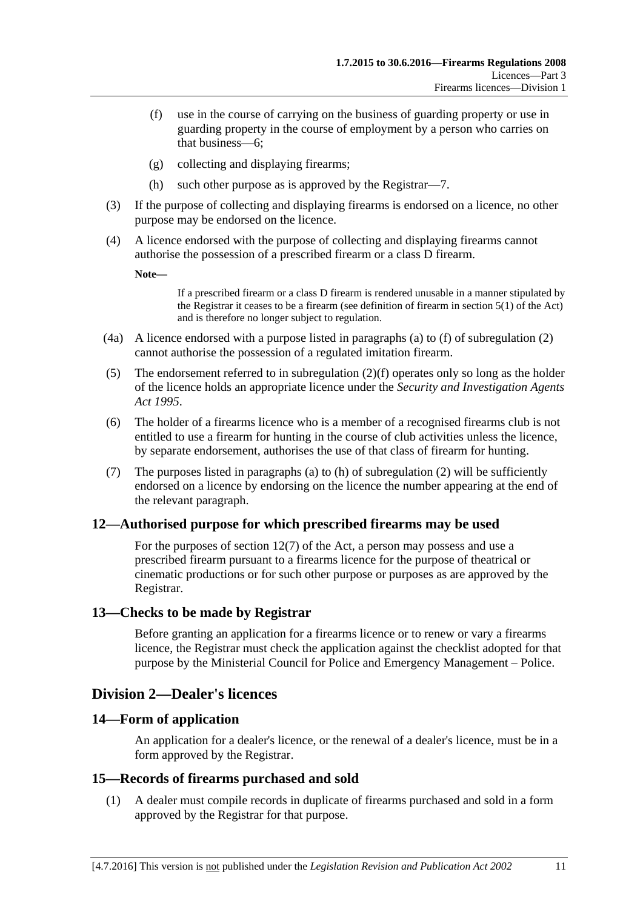- <span id="page-10-6"></span>(f) use in the course of carrying on the business of guarding property or use in guarding property in the course of employment by a person who carries on that business—6;
- (g) collecting and displaying firearms;
- (h) such other purpose as is approved by the Registrar—7.
- <span id="page-10-5"></span>(3) If the purpose of collecting and displaying firearms is endorsed on a licence, no other purpose may be endorsed on the licence.
- (4) A licence endorsed with the purpose of collecting and displaying firearms cannot authorise the possession of a prescribed firearm or a class D firearm.

**Note—**

If a prescribed firearm or a class D firearm is rendered unusable in a manner stipulated by the Registrar it ceases to be a firearm (see definition of firearm in section 5(1) of the Act) and is therefore no longer subject to regulation.

- (4a) A licence endorsed with a purpose listed in paragraphs [\(a\)](#page-9-6) to [\(f\)](#page-10-6) of [subregulation](#page-9-7) (2) cannot authorise the possession of a regulated imitation firearm.
- (5) The endorsement referred to in [subregulation](#page-10-6) (2)(f) operates only so long as the holder of the licence holds an appropriate licence under the *[Security and Investigation Agents](http://www.legislation.sa.gov.au/index.aspx?action=legref&type=act&legtitle=Security%20and%20Investigation%20Agents%20Act%201995)  Act [1995](http://www.legislation.sa.gov.au/index.aspx?action=legref&type=act&legtitle=Security%20and%20Investigation%20Agents%20Act%201995)*.
- (6) The holder of a firearms licence who is a member of a recognised firearms club is not entitled to use a firearm for hunting in the course of club activities unless the licence, by separate endorsement, authorises the use of that class of firearm for hunting.
- (7) The purposes listed in [paragraphs](#page-9-6) (a) to [\(h\)](#page-10-5) of [subregulation](#page-9-7) (2) will be sufficiently endorsed on a licence by endorsing on the licence the number appearing at the end of the relevant paragraph.

#### <span id="page-10-0"></span>**12—Authorised purpose for which prescribed firearms may be used**

For the purposes of section 12(7) of the Act, a person may possess and use a prescribed firearm pursuant to a firearms licence for the purpose of theatrical or cinematic productions or for such other purpose or purposes as are approved by the Registrar.

#### <span id="page-10-1"></span>**13—Checks to be made by Registrar**

Before granting an application for a firearms licence or to renew or vary a firearms licence, the Registrar must check the application against the checklist adopted for that purpose by the Ministerial Council for Police and Emergency Management – Police.

### <span id="page-10-2"></span>**Division 2—Dealer's licences**

#### <span id="page-10-3"></span>**14—Form of application**

An application for a dealer's licence, or the renewal of a dealer's licence, must be in a form approved by the Registrar.

#### <span id="page-10-4"></span>**15—Records of firearms purchased and sold**

(1) A dealer must compile records in duplicate of firearms purchased and sold in a form approved by the Registrar for that purpose.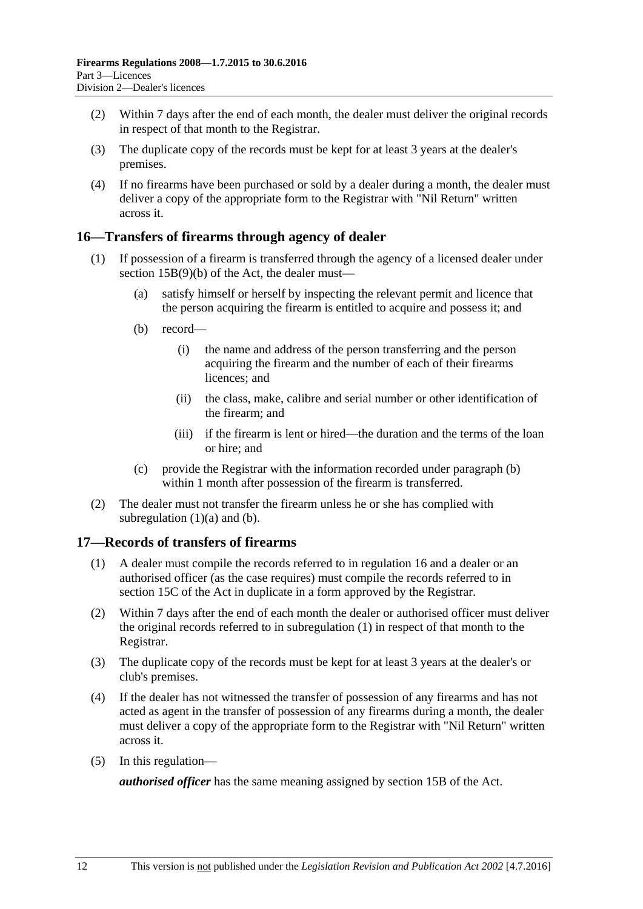- (2) Within 7 days after the end of each month, the dealer must deliver the original records in respect of that month to the Registrar.
- (3) The duplicate copy of the records must be kept for at least 3 years at the dealer's premises.
- (4) If no firearms have been purchased or sold by a dealer during a month, the dealer must deliver a copy of the appropriate form to the Registrar with "Nil Return" written across it.

#### <span id="page-11-0"></span>**16—Transfers of firearms through agency of dealer**

- <span id="page-11-3"></span><span id="page-11-2"></span>(1) If possession of a firearm is transferred through the agency of a licensed dealer under section 15B(9)(b) of the Act, the dealer must—
	- (a) satisfy himself or herself by inspecting the relevant permit and licence that the person acquiring the firearm is entitled to acquire and possess it; and
	- (b) record—
		- (i) the name and address of the person transferring and the person acquiring the firearm and the number of each of their firearms licences: and
		- (ii) the class, make, calibre and serial number or other identification of the firearm; and
		- (iii) if the firearm is lent or hired—the duration and the terms of the loan or hire; and
	- (c) provide the Registrar with the information recorded under [paragraph](#page-11-2) (b) within 1 month after possession of the firearm is transferred.
- (2) The dealer must not transfer the firearm unless he or she has complied with [subregulation](#page-11-3)  $(1)(a)$  and  $(b)$ .

#### <span id="page-11-4"></span><span id="page-11-1"></span>**17—Records of transfers of firearms**

- (1) A dealer must compile the records referred to in [regulation](#page-11-0) 16 and a dealer or an authorised officer (as the case requires) must compile the records referred to in section 15C of the Act in duplicate in a form approved by the Registrar.
- (2) Within 7 days after the end of each month the dealer or authorised officer must deliver the original records referred to in [subregulation](#page-11-4) (1) in respect of that month to the Registrar.
- (3) The duplicate copy of the records must be kept for at least 3 years at the dealer's or club's premises.
- (4) If the dealer has not witnessed the transfer of possession of any firearms and has not acted as agent in the transfer of possession of any firearms during a month, the dealer must deliver a copy of the appropriate form to the Registrar with "Nil Return" written across it.
- (5) In this regulation—

*authorised officer* has the same meaning assigned by section 15B of the Act.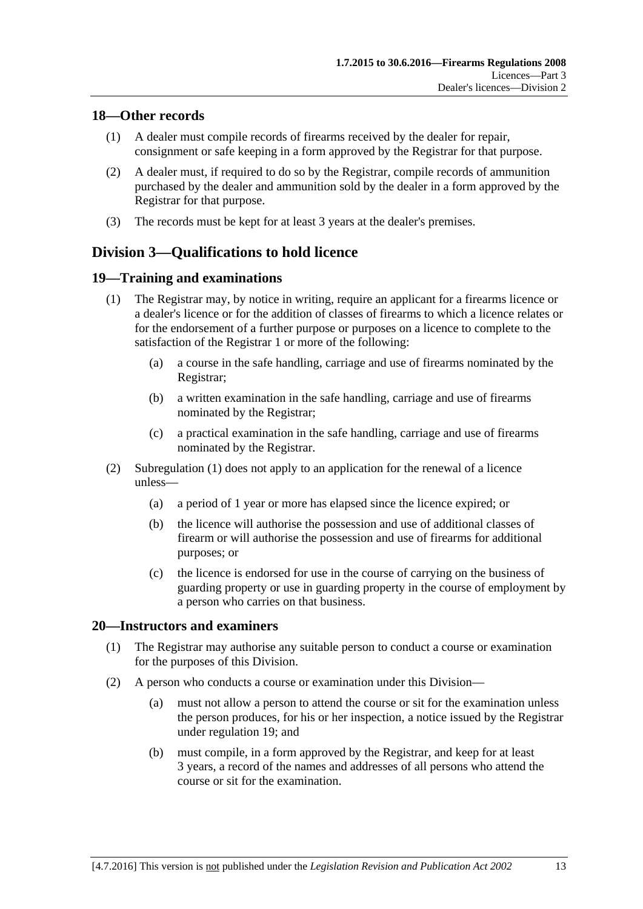#### <span id="page-12-0"></span>**18—Other records**

- (1) A dealer must compile records of firearms received by the dealer for repair, consignment or safe keeping in a form approved by the Registrar for that purpose.
- (2) A dealer must, if required to do so by the Registrar, compile records of ammunition purchased by the dealer and ammunition sold by the dealer in a form approved by the Registrar for that purpose.
- (3) The records must be kept for at least 3 years at the dealer's premises.

## <span id="page-12-1"></span>**Division 3—Qualifications to hold licence**

#### <span id="page-12-4"></span><span id="page-12-2"></span>**19—Training and examinations**

- (1) The Registrar may, by notice in writing, require an applicant for a firearms licence or a dealer's licence or for the addition of classes of firearms to which a licence relates or for the endorsement of a further purpose or purposes on a licence to complete to the satisfaction of the Registrar 1 or more of the following:
	- (a) a course in the safe handling, carriage and use of firearms nominated by the Registrar;
	- (b) a written examination in the safe handling, carriage and use of firearms nominated by the Registrar;
	- (c) a practical examination in the safe handling, carriage and use of firearms nominated by the Registrar.
- (2) [Subregulation](#page-12-4) (1) does not apply to an application for the renewal of a licence unless—
	- (a) a period of 1 year or more has elapsed since the licence expired; or
	- (b) the licence will authorise the possession and use of additional classes of firearm or will authorise the possession and use of firearms for additional purposes; or
	- (c) the licence is endorsed for use in the course of carrying on the business of guarding property or use in guarding property in the course of employment by a person who carries on that business.

#### <span id="page-12-5"></span><span id="page-12-3"></span>**20—Instructors and examiners**

- (1) The Registrar may authorise any suitable person to conduct a course or examination for the purposes of this Division.
- (2) A person who conducts a course or examination under this Division—
	- (a) must not allow a person to attend the course or sit for the examination unless the person produces, for his or her inspection, a notice issued by the Registrar under [regulation](#page-12-2) 19; and
	- (b) must compile, in a form approved by the Registrar, and keep for at least 3 years, a record of the names and addresses of all persons who attend the course or sit for the examination.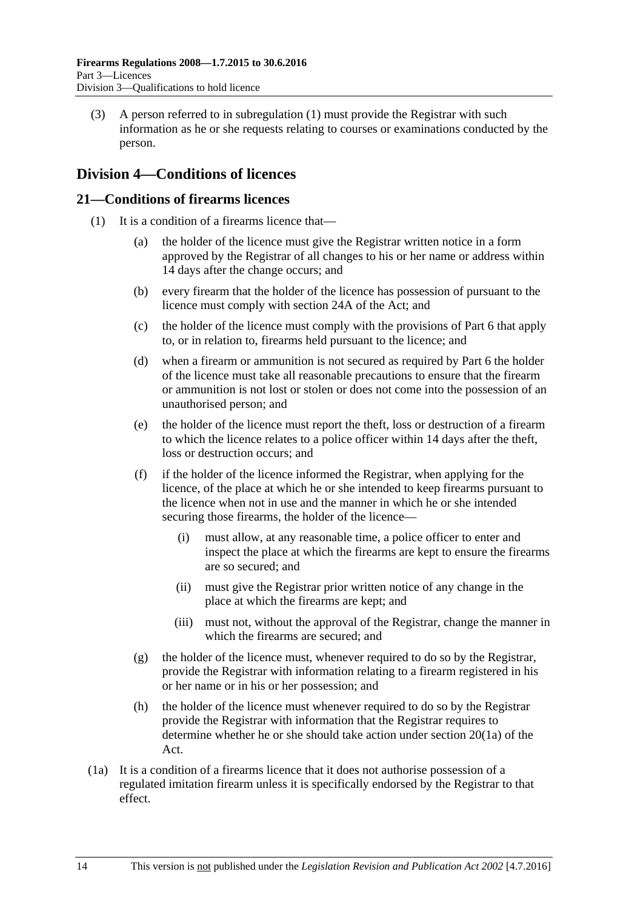(3) A person referred to in [subregulation](#page-12-5) (1) must provide the Registrar with such information as he or she requests relating to courses or examinations conducted by the person.

### <span id="page-13-0"></span>**Division 4—Conditions of licences**

#### <span id="page-13-2"></span><span id="page-13-1"></span>**21—Conditions of firearms licences**

- (1) It is a condition of a firearms licence that—
	- (a) the holder of the licence must give the Registrar written notice in a form approved by the Registrar of all changes to his or her name or address within 14 days after the change occurs; and
	- (b) every firearm that the holder of the licence has possession of pursuant to the licence must comply with section 24A of the Act; and
	- (c) the holder of the licence must comply with the provisions of [Part 6](#page-22-4) that apply to, or in relation to, firearms held pursuant to the licence; and
	- (d) when a firearm or ammunition is not secured as required by [Part 6](#page-22-4) the holder of the licence must take all reasonable precautions to ensure that the firearm or ammunition is not lost or stolen or does not come into the possession of an unauthorised person; and
	- (e) the holder of the licence must report the theft, loss or destruction of a firearm to which the licence relates to a police officer within 14 days after the theft, loss or destruction occurs; and
	- (f) if the holder of the licence informed the Registrar, when applying for the licence, of the place at which he or she intended to keep firearms pursuant to the licence when not in use and the manner in which he or she intended securing those firearms, the holder of the licence—
		- (i) must allow, at any reasonable time, a police officer to enter and inspect the place at which the firearms are kept to ensure the firearms are so secured; and
		- (ii) must give the Registrar prior written notice of any change in the place at which the firearms are kept; and
		- (iii) must not, without the approval of the Registrar, change the manner in which the firearms are secured; and
	- (g) the holder of the licence must, whenever required to do so by the Registrar, provide the Registrar with information relating to a firearm registered in his or her name or in his or her possession; and
	- (h) the holder of the licence must whenever required to do so by the Registrar provide the Registrar with information that the Registrar requires to determine whether he or she should take action under section 20(1a) of the Act.
- (1a) It is a condition of a firearms licence that it does not authorise possession of a regulated imitation firearm unless it is specifically endorsed by the Registrar to that effect.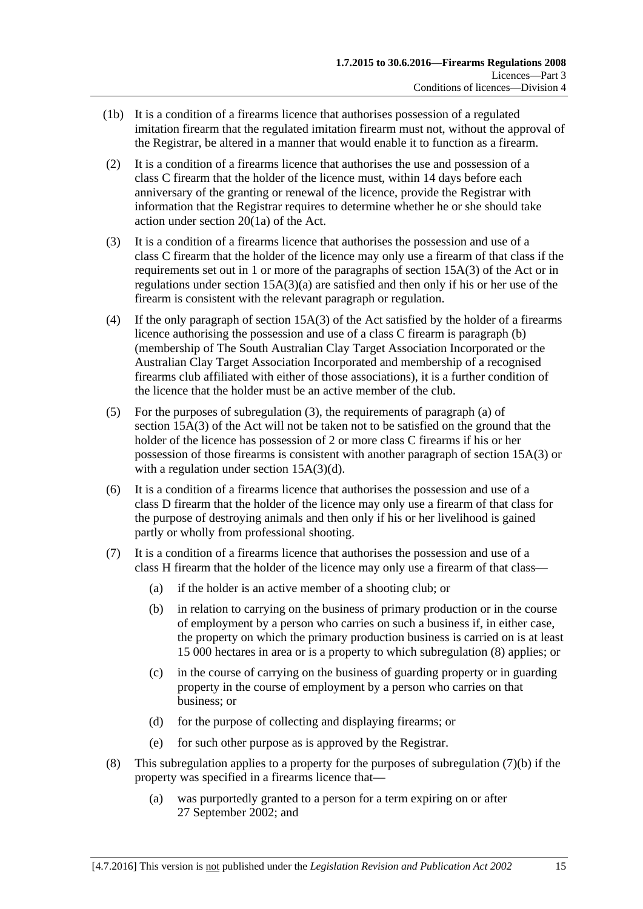- (1b) It is a condition of a firearms licence that authorises possession of a regulated imitation firearm that the regulated imitation firearm must not, without the approval of the Registrar, be altered in a manner that would enable it to function as a firearm.
- (2) It is a condition of a firearms licence that authorises the use and possession of a class C firearm that the holder of the licence must, within 14 days before each anniversary of the granting or renewal of the licence, provide the Registrar with information that the Registrar requires to determine whether he or she should take action under section 20(1a) of the Act.
- <span id="page-14-0"></span>(3) It is a condition of a firearms licence that authorises the possession and use of a class C firearm that the holder of the licence may only use a firearm of that class if the requirements set out in 1 or more of the paragraphs of section 15A(3) of the Act or in regulations under section  $15A(3)(a)$  are satisfied and then only if his or her use of the firearm is consistent with the relevant paragraph or regulation.
- (4) If the only paragraph of section 15A(3) of the Act satisfied by the holder of a firearms licence authorising the possession and use of a class C firearm is paragraph (b) (membership of The South Australian Clay Target Association Incorporated or the Australian Clay Target Association Incorporated and membership of a recognised firearms club affiliated with either of those associations), it is a further condition of the licence that the holder must be an active member of the club.
- (5) For the purposes of [subregulation](#page-14-0) (3), the requirements of paragraph (a) of section 15A(3) of the Act will not be taken not to be satisfied on the ground that the holder of the licence has possession of 2 or more class C firearms if his or her possession of those firearms is consistent with another paragraph of section 15A(3) or with a regulation under section 15A(3)(d).
- <span id="page-14-3"></span>(6) It is a condition of a firearms licence that authorises the possession and use of a class D firearm that the holder of the licence may only use a firearm of that class for the purpose of destroying animals and then only if his or her livelihood is gained partly or wholly from professional shooting.
- <span id="page-14-2"></span>(7) It is a condition of a firearms licence that authorises the possession and use of a class H firearm that the holder of the licence may only use a firearm of that class—
	- (a) if the holder is an active member of a shooting club; or
	- (b) in relation to carrying on the business of primary production or in the course of employment by a person who carries on such a business if, in either case, the property on which the primary production business is carried on is at least 15 000 hectares in area or is a property to which [subregulation](#page-14-1) (8) applies; or
	- (c) in the course of carrying on the business of guarding property or in guarding property in the course of employment by a person who carries on that business; or
	- (d) for the purpose of collecting and displaying firearms; or
	- (e) for such other purpose as is approved by the Registrar.
- <span id="page-14-1"></span>(8) This [subregulation](#page-14-2) applies to a property for the purposes of subregulation  $(7)(b)$  if the property was specified in a firearms licence that—
	- (a) was purportedly granted to a person for a term expiring on or after 27 September 2002; and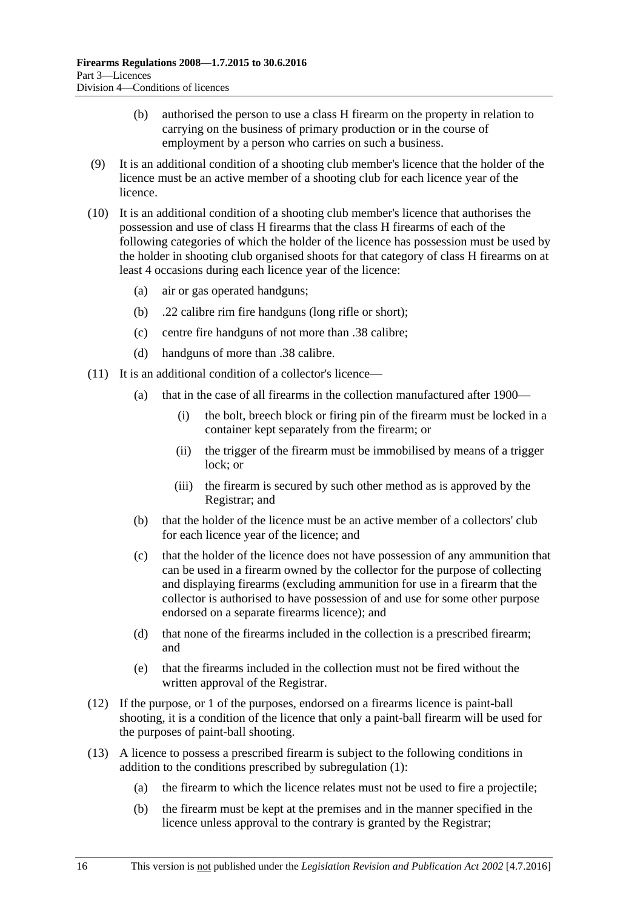- (b) authorised the person to use a class H firearm on the property in relation to carrying on the business of primary production or in the course of employment by a person who carries on such a business.
- (9) It is an additional condition of a shooting club member's licence that the holder of the licence must be an active member of a shooting club for each licence year of the licence.
- (10) It is an additional condition of a shooting club member's licence that authorises the possession and use of class H firearms that the class H firearms of each of the following categories of which the holder of the licence has possession must be used by the holder in shooting club organised shoots for that category of class H firearms on at least 4 occasions during each licence year of the licence:
	- (a) air or gas operated handguns;
	- (b) .22 calibre rim fire handguns (long rifle or short);
	- (c) centre fire handguns of not more than .38 calibre;
	- (d) handguns of more than .38 calibre.
- (11) It is an additional condition of a collector's licence—
	- (a) that in the case of all firearms in the collection manufactured after 1900—
		- (i) the bolt, breech block or firing pin of the firearm must be locked in a container kept separately from the firearm; or
		- (ii) the trigger of the firearm must be immobilised by means of a trigger lock; or
		- (iii) the firearm is secured by such other method as is approved by the Registrar; and
	- (b) that the holder of the licence must be an active member of a collectors' club for each licence year of the licence; and
	- (c) that the holder of the licence does not have possession of any ammunition that can be used in a firearm owned by the collector for the purpose of collecting and displaying firearms (excluding ammunition for use in a firearm that the collector is authorised to have possession of and use for some other purpose endorsed on a separate firearms licence); and
	- (d) that none of the firearms included in the collection is a prescribed firearm; and
	- (e) that the firearms included in the collection must not be fired without the written approval of the Registrar.
- (12) If the purpose, or 1 of the purposes, endorsed on a firearms licence is paint-ball shooting, it is a condition of the licence that only a paint-ball firearm will be used for the purposes of paint-ball shooting.
- (13) A licence to possess a prescribed firearm is subject to the following conditions in addition to the conditions prescribed by [subregulation](#page-13-2) (1):
	- (a) the firearm to which the licence relates must not be used to fire a projectile;
	- (b) the firearm must be kept at the premises and in the manner specified in the licence unless approval to the contrary is granted by the Registrar;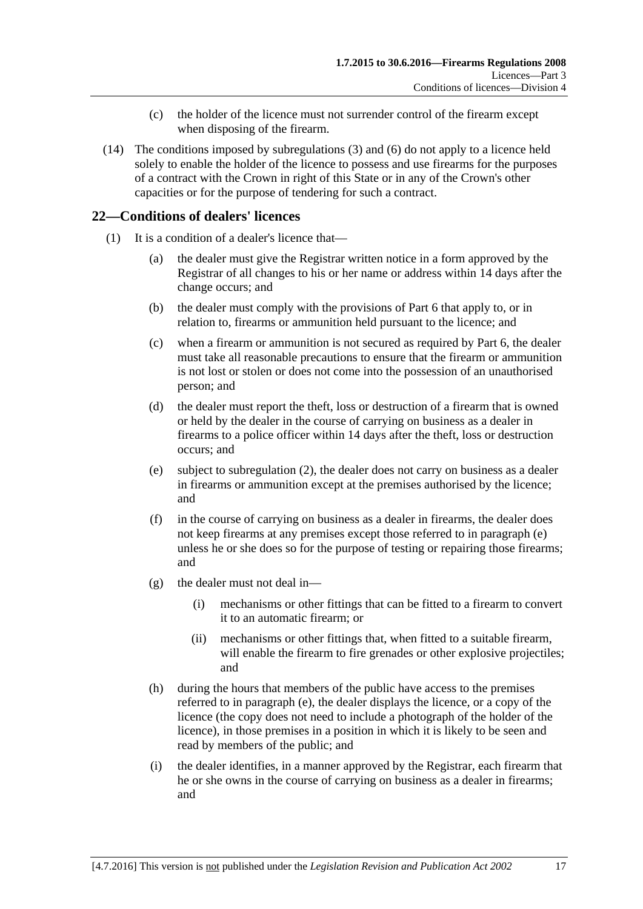- (c) the holder of the licence must not surrender control of the firearm except when disposing of the firearm.
- (14) The conditions imposed by [subregulations](#page-14-0) (3) and [\(6\)](#page-14-3) do not apply to a licence held solely to enable the holder of the licence to possess and use firearms for the purposes of a contract with the Crown in right of this State or in any of the Crown's other capacities or for the purpose of tendering for such a contract.

### <span id="page-16-0"></span>**22—Conditions of dealers' licences**

- <span id="page-16-1"></span>(1) It is a condition of a dealer's licence that—
	- (a) the dealer must give the Registrar written notice in a form approved by the Registrar of all changes to his or her name or address within 14 days after the change occurs; and
	- (b) the dealer must comply with the provisions of [Part 6](#page-22-4) that apply to, or in relation to, firearms or ammunition held pursuant to the licence; and
	- (c) when a firearm or ammunition is not secured as required by [Part 6,](#page-22-4) the dealer must take all reasonable precautions to ensure that the firearm or ammunition is not lost or stolen or does not come into the possession of an unauthorised person; and
	- (d) the dealer must report the theft, loss or destruction of a firearm that is owned or held by the dealer in the course of carrying on business as a dealer in firearms to a police officer within 14 days after the theft, loss or destruction occurs; and
	- (e) subject to [subregulation](#page-17-2) (2), the dealer does not carry on business as a dealer in firearms or ammunition except at the premises authorised by the licence; and
	- (f) in the course of carrying on business as a dealer in firearms, the dealer does not keep firearms at any premises except those referred to in [paragraph](#page-16-1) (e) unless he or she does so for the purpose of testing or repairing those firearms; and
	- (g) the dealer must not deal in—
		- (i) mechanisms or other fittings that can be fitted to a firearm to convert it to an automatic firearm; or
		- (ii) mechanisms or other fittings that, when fitted to a suitable firearm, will enable the firearm to fire grenades or other explosive projectiles; and
	- (h) during the hours that members of the public have access to the premises referred to in [paragraph](#page-16-1) (e), the dealer displays the licence, or a copy of the licence (the copy does not need to include a photograph of the holder of the licence), in those premises in a position in which it is likely to be seen and read by members of the public; and
	- (i) the dealer identifies, in a manner approved by the Registrar, each firearm that he or she owns in the course of carrying on business as a dealer in firearms; and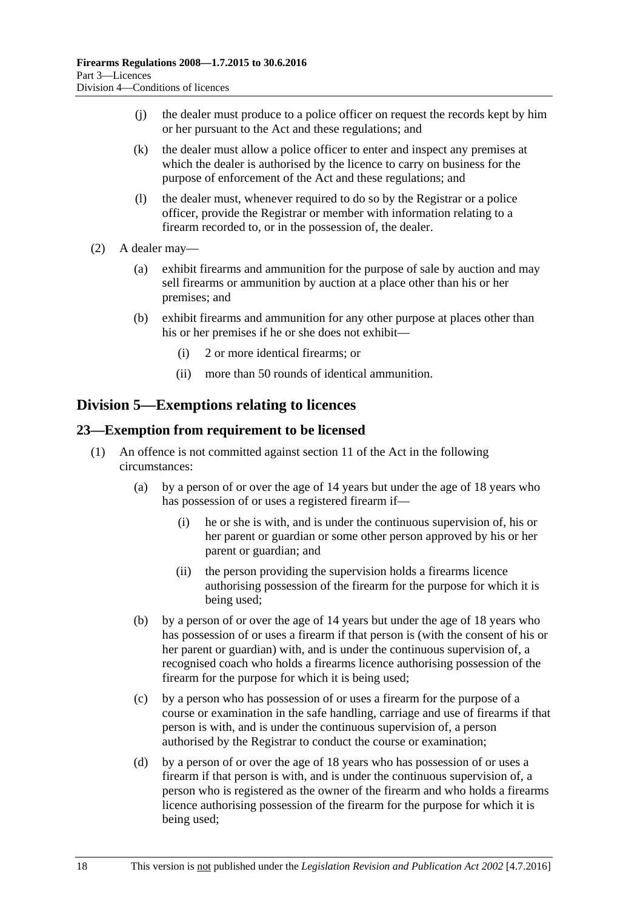- (j) the dealer must produce to a police officer on request the records kept by him or her pursuant to the Act and these regulations; and
- (k) the dealer must allow a police officer to enter and inspect any premises at which the dealer is authorised by the licence to carry on business for the purpose of enforcement of the Act and these regulations; and
- (l) the dealer must, whenever required to do so by the Registrar or a police officer, provide the Registrar or member with information relating to a firearm recorded to, or in the possession of, the dealer.
- <span id="page-17-2"></span>(2) A dealer may—
	- (a) exhibit firearms and ammunition for the purpose of sale by auction and may sell firearms or ammunition by auction at a place other than his or her premises; and
	- (b) exhibit firearms and ammunition for any other purpose at places other than his or her premises if he or she does not exhibit—
		- (i) 2 or more identical firearms; or
		- (ii) more than 50 rounds of identical ammunition.

### <span id="page-17-0"></span>**Division 5—Exemptions relating to licences**

#### <span id="page-17-1"></span>**23—Exemption from requirement to be licensed**

- <span id="page-17-5"></span><span id="page-17-4"></span><span id="page-17-3"></span>(1) An offence is not committed against section 11 of the Act in the following circumstances:
	- (a) by a person of or over the age of 14 years but under the age of 18 years who has possession of or uses a registered firearm if—
		- (i) he or she is with, and is under the continuous supervision of, his or her parent or guardian or some other person approved by his or her parent or guardian; and
		- (ii) the person providing the supervision holds a firearms licence authorising possession of the firearm for the purpose for which it is being used;
	- (b) by a person of or over the age of 14 years but under the age of 18 years who has possession of or uses a firearm if that person is (with the consent of his or her parent or guardian) with, and is under the continuous supervision of, a recognised coach who holds a firearms licence authorising possession of the firearm for the purpose for which it is being used;
	- (c) by a person who has possession of or uses a firearm for the purpose of a course or examination in the safe handling, carriage and use of firearms if that person is with, and is under the continuous supervision of, a person authorised by the Registrar to conduct the course or examination;
	- (d) by a person of or over the age of 18 years who has possession of or uses a firearm if that person is with, and is under the continuous supervision of, a person who is registered as the owner of the firearm and who holds a firearms licence authorising possession of the firearm for the purpose for which it is being used;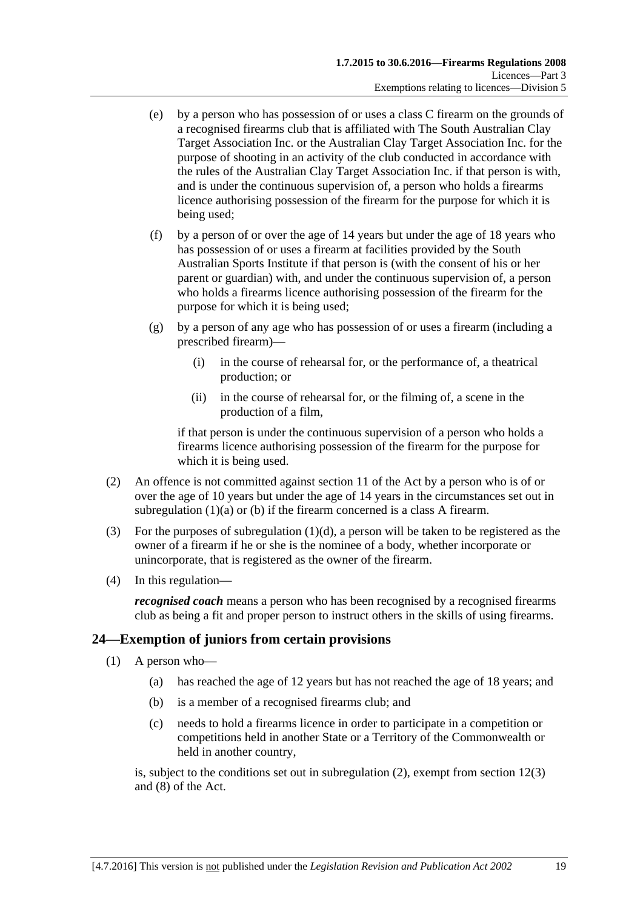- (e) by a person who has possession of or uses a class C firearm on the grounds of a recognised firearms club that is affiliated with The South Australian Clay Target Association Inc. or the Australian Clay Target Association Inc. for the purpose of shooting in an activity of the club conducted in accordance with the rules of the Australian Clay Target Association Inc. if that person is with, and is under the continuous supervision of, a person who holds a firearms licence authorising possession of the firearm for the purpose for which it is being used;
- (f) by a person of or over the age of 14 years but under the age of 18 years who has possession of or uses a firearm at facilities provided by the South Australian Sports Institute if that person is (with the consent of his or her parent or guardian) with, and under the continuous supervision of, a person who holds a firearms licence authorising possession of the firearm for the purpose for which it is being used;
- (g) by a person of any age who has possession of or uses a firearm (including a prescribed firearm)—
	- (i) in the course of rehearsal for, or the performance of, a theatrical production; or
	- (ii) in the course of rehearsal for, or the filming of, a scene in the production of a film,

if that person is under the continuous supervision of a person who holds a firearms licence authorising possession of the firearm for the purpose for which it is being used.

- (2) An offence is not committed against section 11 of the Act by a person who is of or over the age of 10 years but under the age of 14 years in the circumstances set out in [subregulation](#page-17-3) (1)(a) or [\(b\)](#page-17-4) if the firearm concerned is a class A firearm.
- (3) For the purposes of [subregulation](#page-17-5)  $(1)(d)$ , a person will be taken to be registered as the owner of a firearm if he or she is the nominee of a body, whether incorporate or unincorporate, that is registered as the owner of the firearm.
- (4) In this regulation—

*recognised coach* means a person who has been recognised by a recognised firearms club as being a fit and proper person to instruct others in the skills of using firearms.

#### <span id="page-18-1"></span><span id="page-18-0"></span>**24—Exemption of juniors from certain provisions**

- (1) A person who—
	- (a) has reached the age of 12 years but has not reached the age of 18 years; and
	- (b) is a member of a recognised firearms club; and
	- (c) needs to hold a firearms licence in order to participate in a competition or competitions held in another State or a Territory of the Commonwealth or held in another country,

is, subject to the conditions set out in [subregulation](#page-19-4) (2), exempt from section 12(3) and (8) of the Act.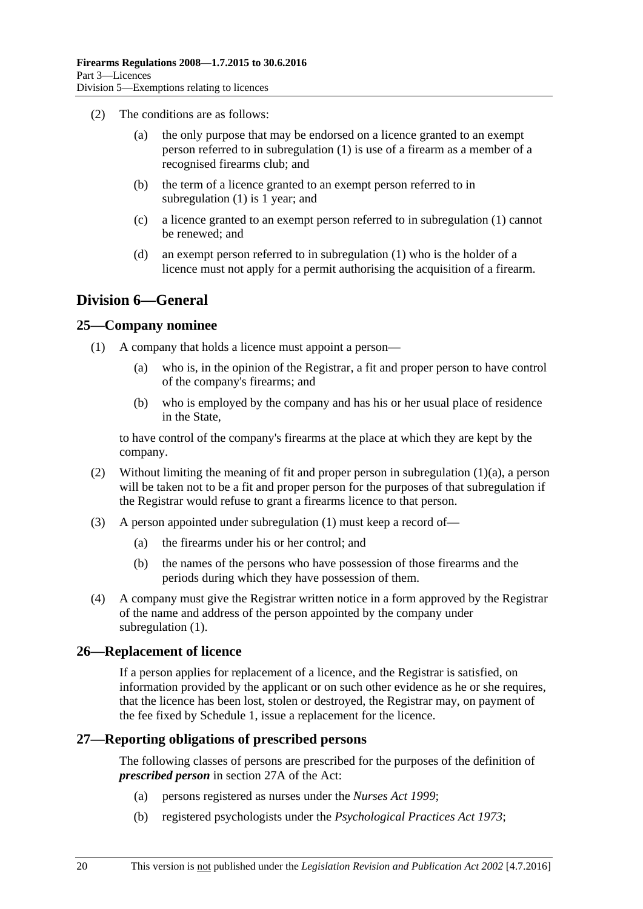- <span id="page-19-4"></span>(2) The conditions are as follows:
	- (a) the only purpose that may be endorsed on a licence granted to an exempt person referred to in [subregulation](#page-18-1) (1) is use of a firearm as a member of a recognised firearms club; and
	- (b) the term of a licence granted to an exempt person referred to in [subregulation](#page-18-1) (1) is 1 year; and
	- (c) a licence granted to an exempt person referred to in [subregulation](#page-18-1) (1) cannot be renewed; and
	- (d) an exempt person referred to in [subregulation](#page-18-1) (1) who is the holder of a licence must not apply for a permit authorising the acquisition of a firearm.

### <span id="page-19-0"></span>**Division 6—General**

#### <span id="page-19-6"></span><span id="page-19-1"></span>**25—Company nominee**

- <span id="page-19-5"></span>(1) A company that holds a licence must appoint a person—
	- (a) who is, in the opinion of the Registrar, a fit and proper person to have control of the company's firearms; and
	- (b) who is employed by the company and has his or her usual place of residence in the State,

to have control of the company's firearms at the place at which they are kept by the company.

- (2) Without limiting the meaning of fit and proper person in [subregulation](#page-19-5) (1)(a), a person will be taken not to be a fit and proper person for the purposes of that subregulation if the Registrar would refuse to grant a firearms licence to that person.
- (3) A person appointed under [subregulation](#page-19-6) (1) must keep a record of—
	- (a) the firearms under his or her control; and
	- (b) the names of the persons who have possession of those firearms and the periods during which they have possession of them.
- (4) A company must give the Registrar written notice in a form approved by the Registrar of the name and address of the person appointed by the company under [subregulation](#page-19-6) (1).

#### <span id="page-19-2"></span>**26—Replacement of licence**

If a person applies for replacement of a licence, and the Registrar is satisfied, on information provided by the applicant or on such other evidence as he or she requires, that the licence has been lost, stolen or destroyed, the Registrar may, on payment of the fee fixed by Schedule 1, issue a replacement for the licence.

#### <span id="page-19-3"></span>**27—Reporting obligations of prescribed persons**

The following classes of persons are prescribed for the purposes of the definition of *prescribed person* in section 27A of the Act:

- (a) persons registered as nurses under the *[Nurses Act](http://www.legislation.sa.gov.au/index.aspx?action=legref&type=act&legtitle=Nurses%20Act%201999) 1999*;
- (b) registered psychologists under the *[Psychological Practices Act](http://www.legislation.sa.gov.au/index.aspx?action=legref&type=act&legtitle=Psychological%20Practices%20Act%201973) 1973*;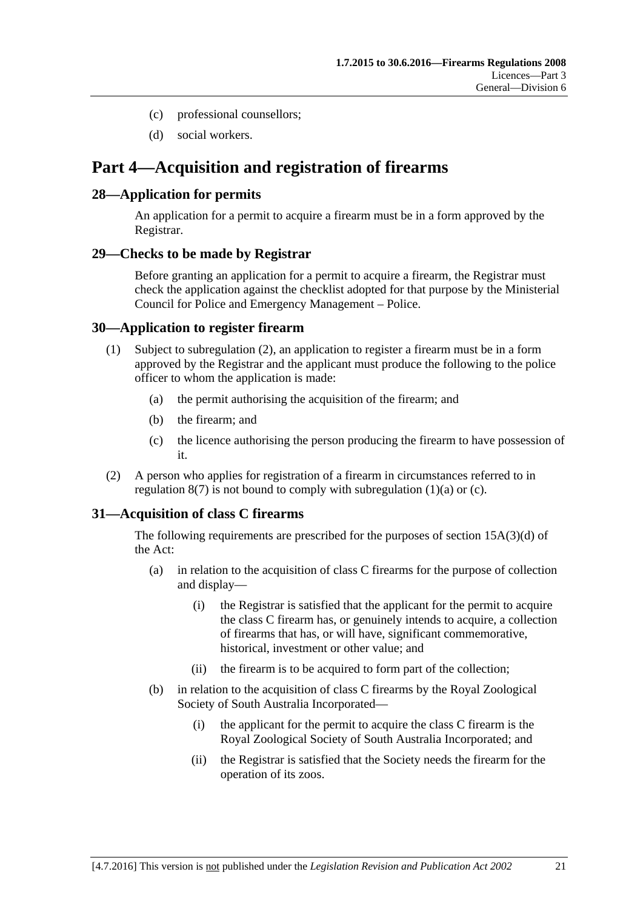- (c) professional counsellors;
- (d) social workers.

## <span id="page-20-0"></span>**Part 4—Acquisition and registration of firearms**

#### <span id="page-20-1"></span>**28—Application for permits**

An application for a permit to acquire a firearm must be in a form approved by the Registrar.

#### <span id="page-20-2"></span>**29—Checks to be made by Registrar**

Before granting an application for a permit to acquire a firearm, the Registrar must check the application against the checklist adopted for that purpose by the Ministerial Council for Police and Emergency Management – Police.

#### <span id="page-20-3"></span>**30—Application to register firearm**

- <span id="page-20-6"></span>(1) Subject to [subregulation](#page-20-5) (2), an application to register a firearm must be in a form approved by the Registrar and the applicant must produce the following to the police officer to whom the application is made:
	- (a) the permit authorising the acquisition of the firearm; and
	- (b) the firearm; and
	- (c) the licence authorising the person producing the firearm to have possession of it.
- <span id="page-20-7"></span><span id="page-20-5"></span>(2) A person who applies for registration of a firearm in circumstances referred to in [regulation](#page-8-5)  $8(7)$  is not bound to comply with [subregulation](#page-20-6)  $(1)(a)$  or  $(c)$ .

### <span id="page-20-4"></span>**31—Acquisition of class C firearms**

The following requirements are prescribed for the purposes of section 15A(3)(d) of the Act:

- (a) in relation to the acquisition of class C firearms for the purpose of collection and display—
	- (i) the Registrar is satisfied that the applicant for the permit to acquire the class C firearm has, or genuinely intends to acquire, a collection of firearms that has, or will have, significant commemorative, historical, investment or other value; and
	- (ii) the firearm is to be acquired to form part of the collection;
- (b) in relation to the acquisition of class C firearms by the Royal Zoological Society of South Australia Incorporated—
	- (i) the applicant for the permit to acquire the class C firearm is the Royal Zoological Society of South Australia Incorporated; and
	- (ii) the Registrar is satisfied that the Society needs the firearm for the operation of its zoos.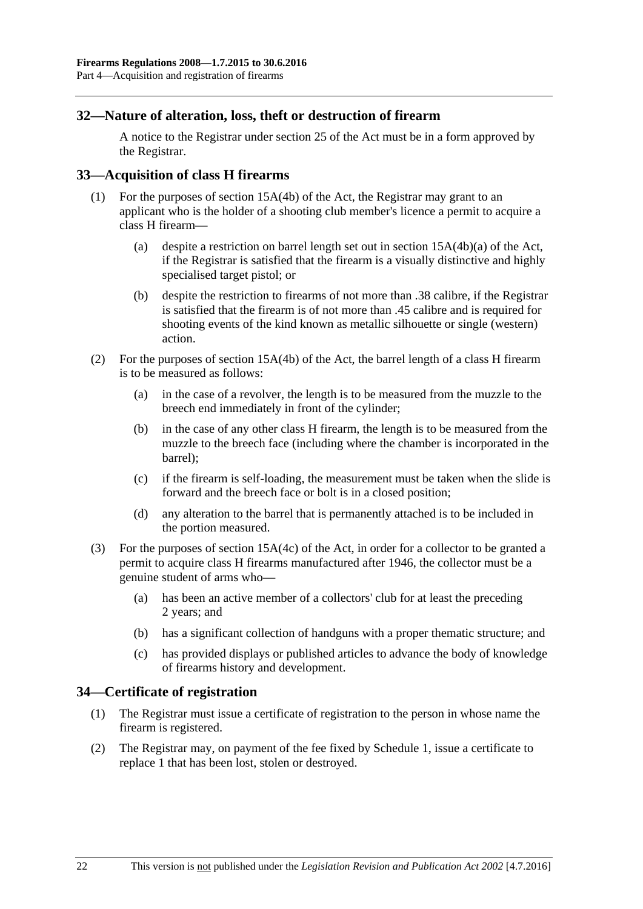#### <span id="page-21-0"></span>**32—Nature of alteration, loss, theft or destruction of firearm**

A notice to the Registrar under section 25 of the Act must be in a form approved by the Registrar.

#### <span id="page-21-1"></span>**33—Acquisition of class H firearms**

- (1) For the purposes of section 15A(4b) of the Act, the Registrar may grant to an applicant who is the holder of a shooting club member's licence a permit to acquire a class H firearm—
	- (a) despite a restriction on barrel length set out in section 15A(4b)(a) of the Act, if the Registrar is satisfied that the firearm is a visually distinctive and highly specialised target pistol; or
	- (b) despite the restriction to firearms of not more than .38 calibre, if the Registrar is satisfied that the firearm is of not more than .45 calibre and is required for shooting events of the kind known as metallic silhouette or single (western) action.
- (2) For the purposes of section 15A(4b) of the Act, the barrel length of a class H firearm is to be measured as follows:
	- (a) in the case of a revolver, the length is to be measured from the muzzle to the breech end immediately in front of the cylinder;
	- (b) in the case of any other class H firearm, the length is to be measured from the muzzle to the breech face (including where the chamber is incorporated in the barrel);
	- (c) if the firearm is self-loading, the measurement must be taken when the slide is forward and the breech face or bolt is in a closed position;
	- (d) any alteration to the barrel that is permanently attached is to be included in the portion measured.
- (3) For the purposes of section 15A(4c) of the Act, in order for a collector to be granted a permit to acquire class H firearms manufactured after 1946, the collector must be a genuine student of arms who—
	- (a) has been an active member of a collectors' club for at least the preceding 2 years; and
	- (b) has a significant collection of handguns with a proper thematic structure; and
	- (c) has provided displays or published articles to advance the body of knowledge of firearms history and development.

#### <span id="page-21-2"></span>**34—Certificate of registration**

- (1) The Registrar must issue a certificate of registration to the person in whose name the firearm is registered.
- (2) The Registrar may, on payment of the fee fixed by Schedule 1, issue a certificate to replace 1 that has been lost, stolen or destroyed.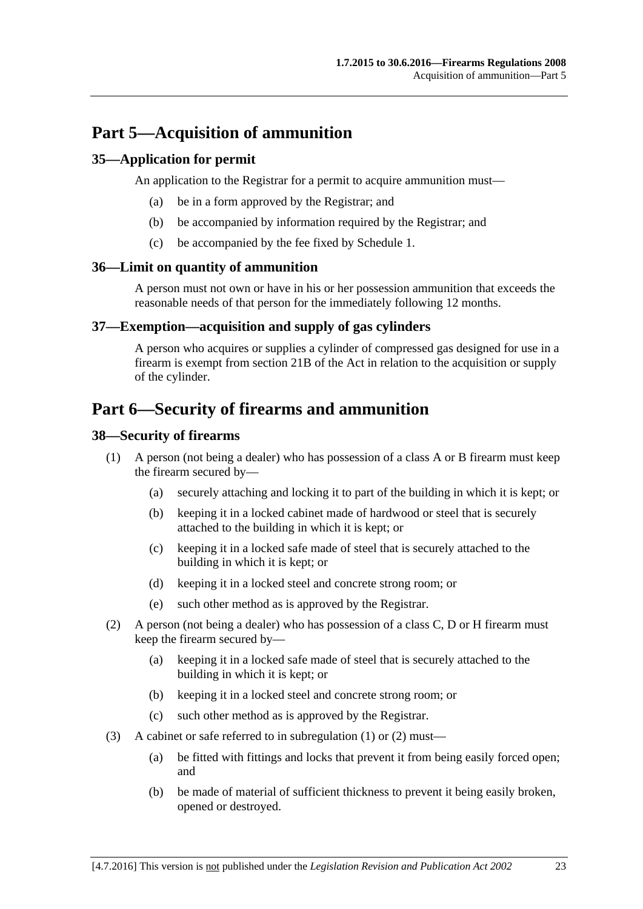## <span id="page-22-0"></span>**Part 5—Acquisition of ammunition**

#### <span id="page-22-1"></span>**35—Application for permit**

An application to the Registrar for a permit to acquire ammunition must—

- (a) be in a form approved by the Registrar; and
- (b) be accompanied by information required by the Registrar; and
- (c) be accompanied by the fee fixed by Schedule 1.

#### <span id="page-22-2"></span>**36—Limit on quantity of ammunition**

A person must not own or have in his or her possession ammunition that exceeds the reasonable needs of that person for the immediately following 12 months.

#### <span id="page-22-3"></span>**37—Exemption—acquisition and supply of gas cylinders**

A person who acquires or supplies a cylinder of compressed gas designed for use in a firearm is exempt from section 21B of the Act in relation to the acquisition or supply of the cylinder.

## <span id="page-22-4"></span>**Part 6—Security of firearms and ammunition**

#### <span id="page-22-6"></span><span id="page-22-5"></span>**38—Security of firearms**

- <span id="page-22-8"></span>(1) A person (not being a dealer) who has possession of a class A or B firearm must keep the firearm secured by—
	- (a) securely attaching and locking it to part of the building in which it is kept; or
	- (b) keeping it in a locked cabinet made of hardwood or steel that is securely attached to the building in which it is kept; or
	- (c) keeping it in a locked safe made of steel that is securely attached to the building in which it is kept; or
	- (d) keeping it in a locked steel and concrete strong room; or
	- (e) such other method as is approved by the Registrar.
- <span id="page-22-9"></span><span id="page-22-7"></span>(2) A person (not being a dealer) who has possession of a class C, D or H firearm must keep the firearm secured by—
	- (a) keeping it in a locked safe made of steel that is securely attached to the building in which it is kept; or
	- (b) keeping it in a locked steel and concrete strong room; or
	- (c) such other method as is approved by the Registrar.
- (3) A cabinet or safe referred to in [subregulation](#page-22-6) (1) or [\(2\)](#page-22-7) must—
	- (a) be fitted with fittings and locks that prevent it from being easily forced open; and
	- (b) be made of material of sufficient thickness to prevent it being easily broken, opened or destroyed.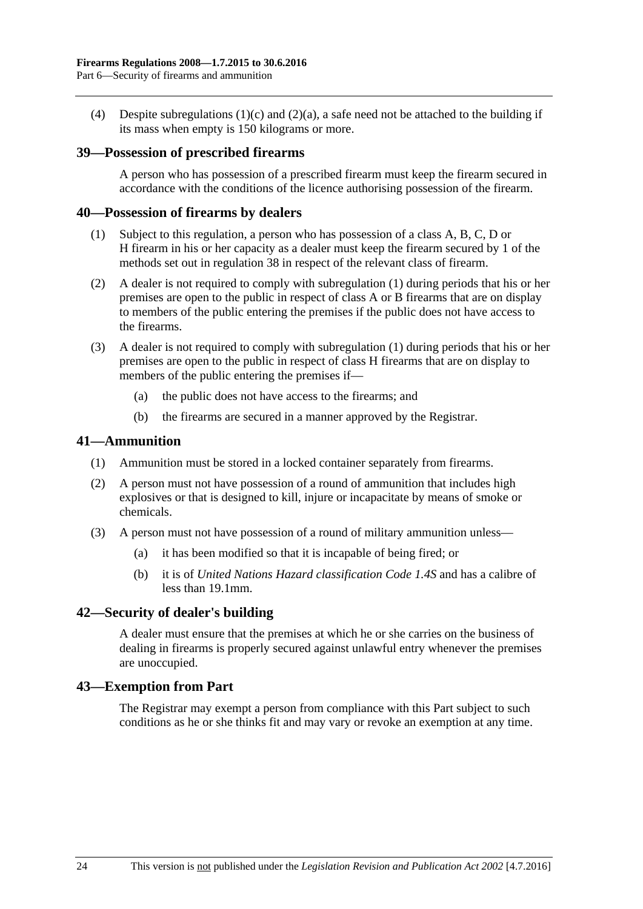(4) Despite [subregulations](#page-22-8) (1)(c) and [\(2\)\(a\),](#page-22-9) a safe need not be attached to the building if its mass when empty is 150 kilograms or more.

#### <span id="page-23-0"></span>**39—Possession of prescribed firearms**

A person who has possession of a prescribed firearm must keep the firearm secured in accordance with the conditions of the licence authorising possession of the firearm.

#### <span id="page-23-5"></span><span id="page-23-1"></span>**40—Possession of firearms by dealers**

- (1) Subject to this regulation, a person who has possession of a class A, B, C, D or H firearm in his or her capacity as a dealer must keep the firearm secured by 1 of the methods set out in [regulation](#page-22-5) 38 in respect of the relevant class of firearm.
- (2) A dealer is not required to comply with [subregulation](#page-23-5) (1) during periods that his or her premises are open to the public in respect of class A or B firearms that are on display to members of the public entering the premises if the public does not have access to the firearms.
- (3) A dealer is not required to comply with [subregulation](#page-23-5) (1) during periods that his or her premises are open to the public in respect of class H firearms that are on display to members of the public entering the premises if—
	- (a) the public does not have access to the firearms; and
	- (b) the firearms are secured in a manner approved by the Registrar.

#### <span id="page-23-2"></span>**41—Ammunition**

- (1) Ammunition must be stored in a locked container separately from firearms.
- (2) A person must not have possession of a round of ammunition that includes high explosives or that is designed to kill, injure or incapacitate by means of smoke or chemicals.
- (3) A person must not have possession of a round of military ammunition unless—
	- (a) it has been modified so that it is incapable of being fired; or
	- (b) it is of *United Nations Hazard classification Code 1.4S* and has a calibre of less than 19.1mm.

#### <span id="page-23-3"></span>**42—Security of dealer's building**

A dealer must ensure that the premises at which he or she carries on the business of dealing in firearms is properly secured against unlawful entry whenever the premises are unoccupied.

#### <span id="page-23-4"></span>**43—Exemption from Part**

The Registrar may exempt a person from compliance with this Part subject to such conditions as he or she thinks fit and may vary or revoke an exemption at any time.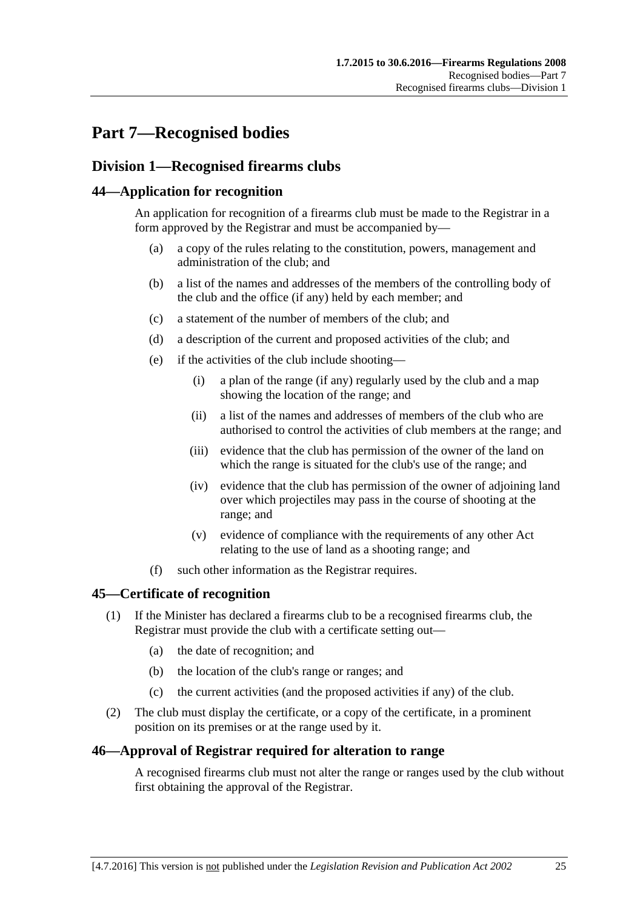## <span id="page-24-0"></span>**Part 7—Recognised bodies**

## <span id="page-24-1"></span>**Division 1—Recognised firearms clubs**

#### <span id="page-24-2"></span>**44—Application for recognition**

An application for recognition of a firearms club must be made to the Registrar in a form approved by the Registrar and must be accompanied by—

- (a) a copy of the rules relating to the constitution, powers, management and administration of the club; and
- (b) a list of the names and addresses of the members of the controlling body of the club and the office (if any) held by each member; and
- (c) a statement of the number of members of the club; and
- (d) a description of the current and proposed activities of the club; and
- (e) if the activities of the club include shooting—
	- (i) a plan of the range (if any) regularly used by the club and a map showing the location of the range; and
	- (ii) a list of the names and addresses of members of the club who are authorised to control the activities of club members at the range; and
	- (iii) evidence that the club has permission of the owner of the land on which the range is situated for the club's use of the range; and
	- (iv) evidence that the club has permission of the owner of adjoining land over which projectiles may pass in the course of shooting at the range; and
	- (v) evidence of compliance with the requirements of any other Act relating to the use of land as a shooting range; and
- (f) such other information as the Registrar requires.

#### <span id="page-24-3"></span>**45—Certificate of recognition**

- (1) If the Minister has declared a firearms club to be a recognised firearms club, the Registrar must provide the club with a certificate setting out—
	- (a) the date of recognition; and
	- (b) the location of the club's range or ranges; and
	- (c) the current activities (and the proposed activities if any) of the club.
- (2) The club must display the certificate, or a copy of the certificate, in a prominent position on its premises or at the range used by it.

#### <span id="page-24-4"></span>**46—Approval of Registrar required for alteration to range**

A recognised firearms club must not alter the range or ranges used by the club without first obtaining the approval of the Registrar.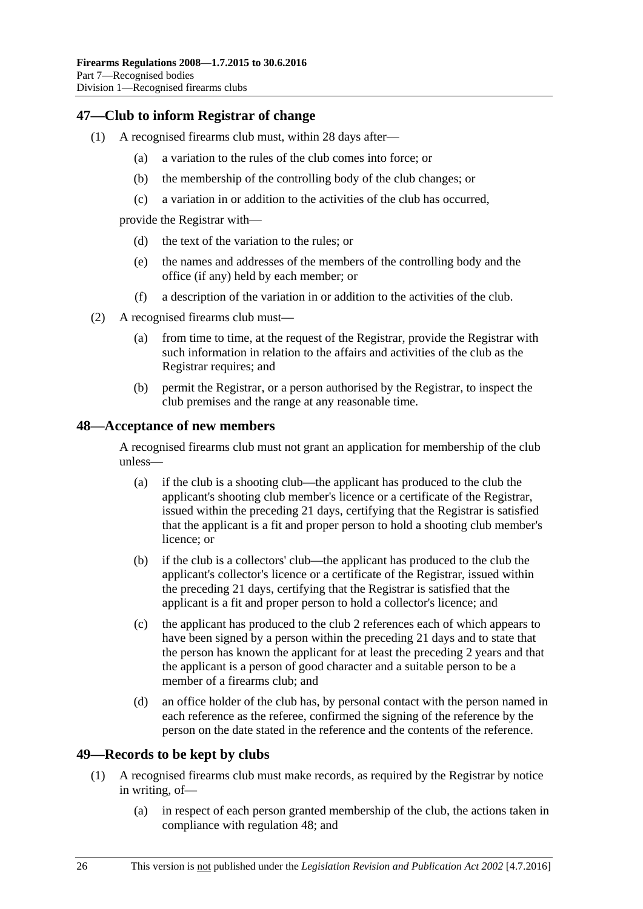#### <span id="page-25-0"></span>**47—Club to inform Registrar of change**

- (1) A recognised firearms club must, within 28 days after—
	- (a) a variation to the rules of the club comes into force; or
	- (b) the membership of the controlling body of the club changes; or
	- (c) a variation in or addition to the activities of the club has occurred,

provide the Registrar with—

- (d) the text of the variation to the rules; or
- (e) the names and addresses of the members of the controlling body and the office (if any) held by each member; or
- (f) a description of the variation in or addition to the activities of the club.
- (2) A recognised firearms club must—
	- (a) from time to time, at the request of the Registrar, provide the Registrar with such information in relation to the affairs and activities of the club as the Registrar requires; and
	- (b) permit the Registrar, or a person authorised by the Registrar, to inspect the club premises and the range at any reasonable time.

#### <span id="page-25-1"></span>**48—Acceptance of new members**

A recognised firearms club must not grant an application for membership of the club unless—

- (a) if the club is a shooting club—the applicant has produced to the club the applicant's shooting club member's licence or a certificate of the Registrar, issued within the preceding 21 days, certifying that the Registrar is satisfied that the applicant is a fit and proper person to hold a shooting club member's licence; or
- (b) if the club is a collectors' club—the applicant has produced to the club the applicant's collector's licence or a certificate of the Registrar, issued within the preceding 21 days, certifying that the Registrar is satisfied that the applicant is a fit and proper person to hold a collector's licence; and
- (c) the applicant has produced to the club 2 references each of which appears to have been signed by a person within the preceding 21 days and to state that the person has known the applicant for at least the preceding 2 years and that the applicant is a person of good character and a suitable person to be a member of a firearms club; and
- (d) an office holder of the club has, by personal contact with the person named in each reference as the referee, confirmed the signing of the reference by the person on the date stated in the reference and the contents of the reference.

#### <span id="page-25-3"></span><span id="page-25-2"></span>**49—Records to be kept by clubs**

- (1) A recognised firearms club must make records, as required by the Registrar by notice in writing, of—
	- (a) in respect of each person granted membership of the club, the actions taken in compliance with [regulation](#page-25-1) 48; and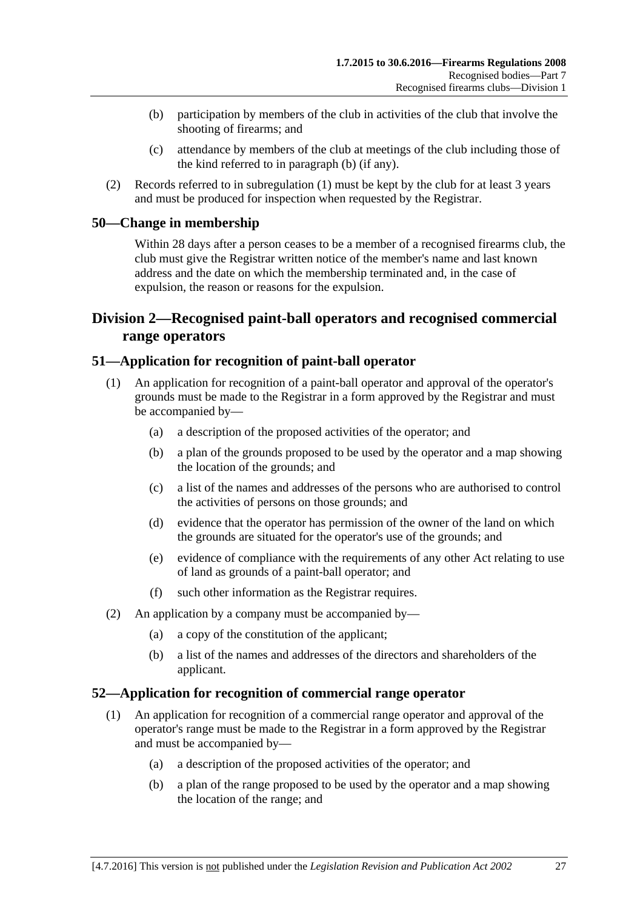- <span id="page-26-4"></span>(b) participation by members of the club in activities of the club that involve the shooting of firearms; and
- (c) attendance by members of the club at meetings of the club including those of the kind referred to in [paragraph](#page-26-4) (b) (if any).
- (2) Records referred to in [subregulation](#page-25-3) (1) must be kept by the club for at least 3 years and must be produced for inspection when requested by the Registrar.

#### <span id="page-26-0"></span>**50—Change in membership**

Within 28 days after a person ceases to be a member of a recognised firearms club, the club must give the Registrar written notice of the member's name and last known address and the date on which the membership terminated and, in the case of expulsion, the reason or reasons for the expulsion.

### <span id="page-26-1"></span>**Division 2—Recognised paint-ball operators and recognised commercial range operators**

#### <span id="page-26-2"></span>**51—Application for recognition of paint-ball operator**

- (1) An application for recognition of a paint-ball operator and approval of the operator's grounds must be made to the Registrar in a form approved by the Registrar and must be accompanied by—
	- (a) a description of the proposed activities of the operator; and
	- (b) a plan of the grounds proposed to be used by the operator and a map showing the location of the grounds; and
	- (c) a list of the names and addresses of the persons who are authorised to control the activities of persons on those grounds; and
	- (d) evidence that the operator has permission of the owner of the land on which the grounds are situated for the operator's use of the grounds; and
	- (e) evidence of compliance with the requirements of any other Act relating to use of land as grounds of a paint-ball operator; and
	- (f) such other information as the Registrar requires.
- (2) An application by a company must be accompanied by—
	- (a) a copy of the constitution of the applicant;
	- (b) a list of the names and addresses of the directors and shareholders of the applicant.

#### <span id="page-26-3"></span>**52—Application for recognition of commercial range operator**

- (1) An application for recognition of a commercial range operator and approval of the operator's range must be made to the Registrar in a form approved by the Registrar and must be accompanied by—
	- (a) a description of the proposed activities of the operator; and
	- (b) a plan of the range proposed to be used by the operator and a map showing the location of the range; and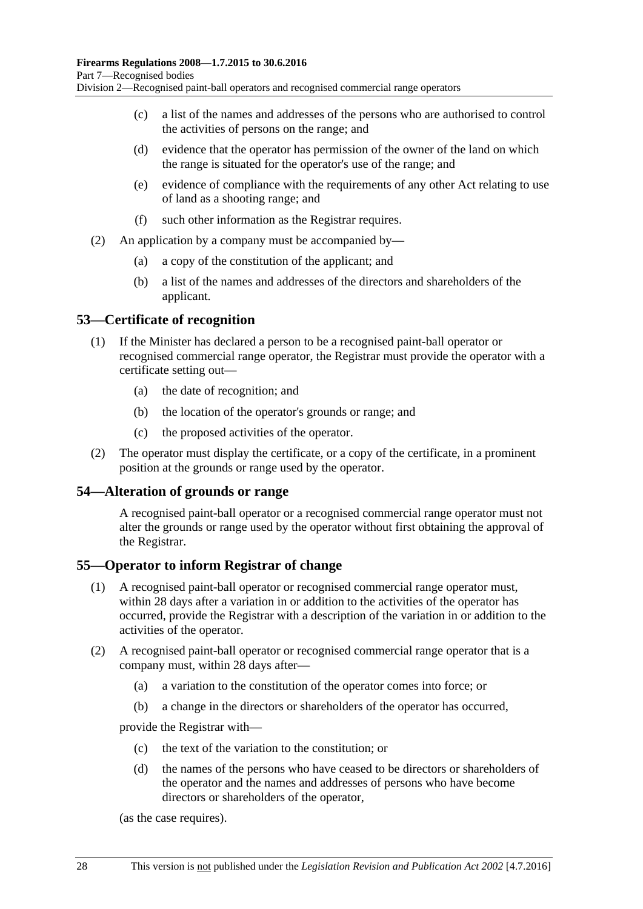- (c) a list of the names and addresses of the persons who are authorised to control the activities of persons on the range; and
- (d) evidence that the operator has permission of the owner of the land on which the range is situated for the operator's use of the range; and
- (e) evidence of compliance with the requirements of any other Act relating to use of land as a shooting range; and
- (f) such other information as the Registrar requires.
- (2) An application by a company must be accompanied by—
	- (a) a copy of the constitution of the applicant; and
	- (b) a list of the names and addresses of the directors and shareholders of the applicant.

#### <span id="page-27-0"></span>**53—Certificate of recognition**

- (1) If the Minister has declared a person to be a recognised paint-ball operator or recognised commercial range operator, the Registrar must provide the operator with a certificate setting out—
	- (a) the date of recognition; and
	- (b) the location of the operator's grounds or range; and
	- (c) the proposed activities of the operator.
- (2) The operator must display the certificate, or a copy of the certificate, in a prominent position at the grounds or range used by the operator.

#### <span id="page-27-1"></span>**54—Alteration of grounds or range**

A recognised paint-ball operator or a recognised commercial range operator must not alter the grounds or range used by the operator without first obtaining the approval of the Registrar.

#### <span id="page-27-2"></span>**55—Operator to inform Registrar of change**

- (1) A recognised paint-ball operator or recognised commercial range operator must, within 28 days after a variation in or addition to the activities of the operator has occurred, provide the Registrar with a description of the variation in or addition to the activities of the operator.
- (2) A recognised paint-ball operator or recognised commercial range operator that is a company must, within 28 days after—
	- (a) a variation to the constitution of the operator comes into force; or
	- (b) a change in the directors or shareholders of the operator has occurred,

provide the Registrar with—

- (c) the text of the variation to the constitution; or
- (d) the names of the persons who have ceased to be directors or shareholders of the operator and the names and addresses of persons who have become directors or shareholders of the operator,

(as the case requires).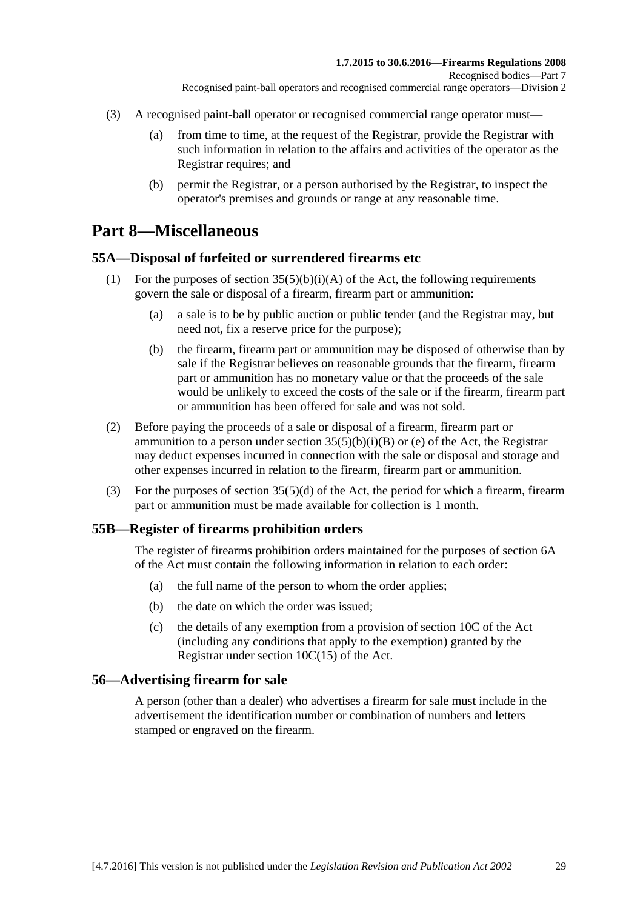- (3) A recognised paint-ball operator or recognised commercial range operator must—
	- (a) from time to time, at the request of the Registrar, provide the Registrar with such information in relation to the affairs and activities of the operator as the Registrar requires; and
	- (b) permit the Registrar, or a person authorised by the Registrar, to inspect the operator's premises and grounds or range at any reasonable time.

## <span id="page-28-0"></span>**Part 8—Miscellaneous**

#### <span id="page-28-1"></span>**55A—Disposal of forfeited or surrendered firearms etc**

- (1) For the purposes of section  $35(5)(b)(i)(A)$  of the Act, the following requirements govern the sale or disposal of a firearm, firearm part or ammunition:
	- (a) a sale is to be by public auction or public tender (and the Registrar may, but need not, fix a reserve price for the purpose);
	- (b) the firearm, firearm part or ammunition may be disposed of otherwise than by sale if the Registrar believes on reasonable grounds that the firearm, firearm part or ammunition has no monetary value or that the proceeds of the sale would be unlikely to exceed the costs of the sale or if the firearm, firearm part or ammunition has been offered for sale and was not sold.
- (2) Before paying the proceeds of a sale or disposal of a firearm, firearm part or ammunition to a person under section  $35(5)(b)(i)(B)$  or (e) of the Act, the Registrar may deduct expenses incurred in connection with the sale or disposal and storage and other expenses incurred in relation to the firearm, firearm part or ammunition.
- (3) For the purposes of section 35(5)(d) of the Act, the period for which a firearm, firearm part or ammunition must be made available for collection is 1 month.

#### <span id="page-28-2"></span>**55B—Register of firearms prohibition orders**

The register of firearms prohibition orders maintained for the purposes of section 6A of the Act must contain the following information in relation to each order:

- (a) the full name of the person to whom the order applies;
- (b) the date on which the order was issued;
- (c) the details of any exemption from a provision of section 10C of the Act (including any conditions that apply to the exemption) granted by the Registrar under section 10C(15) of the Act.

#### <span id="page-28-3"></span>**56—Advertising firearm for sale**

A person (other than a dealer) who advertises a firearm for sale must include in the advertisement the identification number or combination of numbers and letters stamped or engraved on the firearm.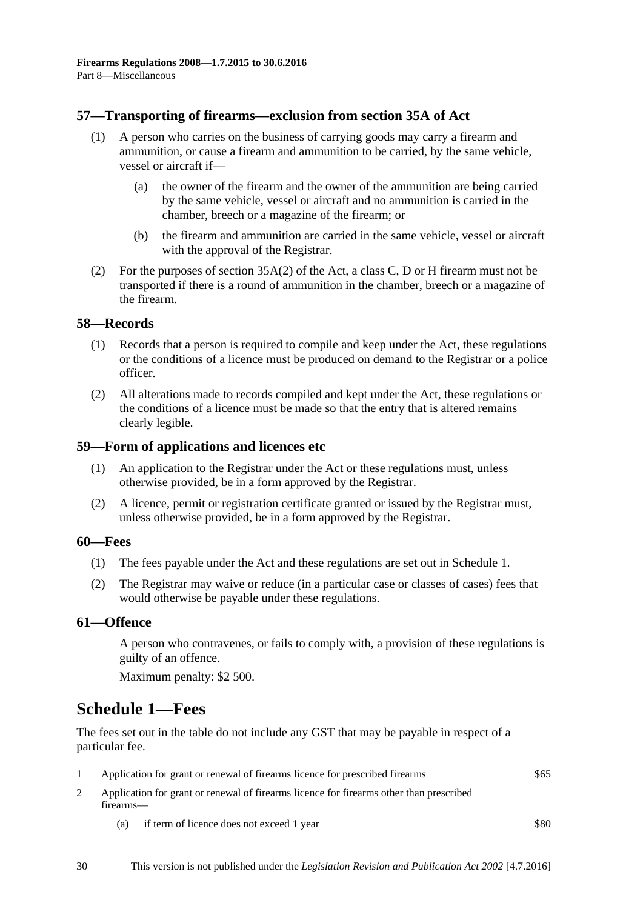#### <span id="page-29-0"></span>**57—Transporting of firearms—exclusion from section 35A of Act**

- (1) A person who carries on the business of carrying goods may carry a firearm and ammunition, or cause a firearm and ammunition to be carried, by the same vehicle, vessel or aircraft if—
	- (a) the owner of the firearm and the owner of the ammunition are being carried by the same vehicle, vessel or aircraft and no ammunition is carried in the chamber, breech or a magazine of the firearm; or
	- (b) the firearm and ammunition are carried in the same vehicle, vessel or aircraft with the approval of the Registrar.
- (2) For the purposes of section 35A(2) of the Act, a class C, D or H firearm must not be transported if there is a round of ammunition in the chamber, breech or a magazine of the firearm.

#### <span id="page-29-1"></span>**58—Records**

- (1) Records that a person is required to compile and keep under the Act, these regulations or the conditions of a licence must be produced on demand to the Registrar or a police officer.
- (2) All alterations made to records compiled and kept under the Act, these regulations or the conditions of a licence must be made so that the entry that is altered remains clearly legible.

#### <span id="page-29-2"></span>**59—Form of applications and licences etc**

- (1) An application to the Registrar under the Act or these regulations must, unless otherwise provided, be in a form approved by the Registrar.
- (2) A licence, permit or registration certificate granted or issued by the Registrar must, unless otherwise provided, be in a form approved by the Registrar.

#### <span id="page-29-3"></span>**60—Fees**

- (1) The fees payable under the Act and these regulations are set out in Schedule 1.
- (2) The Registrar may waive or reduce (in a particular case or classes of cases) fees that would otherwise be payable under these regulations.

#### <span id="page-29-4"></span>**61—Offence**

A person who contravenes, or fails to comply with, a provision of these regulations is guilty of an offence.

Maximum penalty: \$2 500.

## <span id="page-29-5"></span>**Schedule 1—Fees**

The fees set out in the table do not include any GST that may be payable in respect of a particular fee.

- 1 Application for grant or renewal of firearms licence for prescribed firearms \$65
- 2 Application for grant or renewal of firearms licence for firearms other than prescribed firearms—
	- (a) if term of licence does not exceed 1 year \$80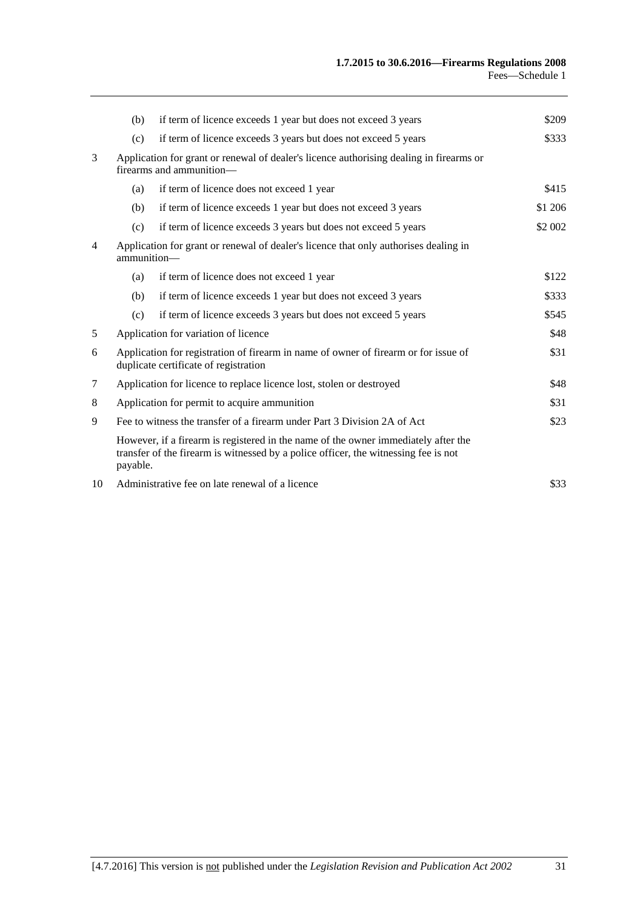| (b)                                                                                                                                  | if term of licence exceeds 1 year but does not exceed 3 years  | \$209                                                                                                                                                                                                                                    |
|--------------------------------------------------------------------------------------------------------------------------------------|----------------------------------------------------------------|------------------------------------------------------------------------------------------------------------------------------------------------------------------------------------------------------------------------------------------|
| (c)                                                                                                                                  | if term of licence exceeds 3 years but does not exceed 5 years | \$333                                                                                                                                                                                                                                    |
| Application for grant or renewal of dealer's licence authorising dealing in firearms or<br>firearms and ammunition-                  |                                                                |                                                                                                                                                                                                                                          |
| (a)                                                                                                                                  | if term of licence does not exceed 1 year                      | \$415                                                                                                                                                                                                                                    |
| (b)                                                                                                                                  | if term of licence exceeds 1 year but does not exceed 3 years  | \$1 206                                                                                                                                                                                                                                  |
| (c)                                                                                                                                  | if term of licence exceeds 3 years but does not exceed 5 years | \$2 002                                                                                                                                                                                                                                  |
| Application for grant or renewal of dealer's licence that only authorises dealing in<br>ammunition-                                  |                                                                |                                                                                                                                                                                                                                          |
| (a)                                                                                                                                  | if term of licence does not exceed 1 year                      | \$122                                                                                                                                                                                                                                    |
| (b)                                                                                                                                  | if term of licence exceeds 1 year but does not exceed 3 years  | \$333                                                                                                                                                                                                                                    |
| (c)                                                                                                                                  | if term of licence exceeds 3 years but does not exceed 5 years | \$545                                                                                                                                                                                                                                    |
| Application for variation of licence<br>\$48                                                                                         |                                                                |                                                                                                                                                                                                                                          |
| \$31<br>Application for registration of firearm in name of owner of firearm or for issue of<br>duplicate certificate of registration |                                                                |                                                                                                                                                                                                                                          |
| Application for licence to replace licence lost, stolen or destroyed                                                                 |                                                                | \$48                                                                                                                                                                                                                                     |
| Application for permit to acquire ammunition                                                                                         |                                                                | \$31                                                                                                                                                                                                                                     |
| Fee to witness the transfer of a firearm under Part 3 Division 2A of Act                                                             |                                                                | \$23                                                                                                                                                                                                                                     |
|                                                                                                                                      |                                                                |                                                                                                                                                                                                                                          |
|                                                                                                                                      |                                                                | \$33                                                                                                                                                                                                                                     |
|                                                                                                                                      |                                                                | However, if a firearm is registered in the name of the owner immediately after the<br>transfer of the firearm is witnessed by a police officer, the witnessing fee is not<br>payable.<br>Administrative fee on late renewal of a licence |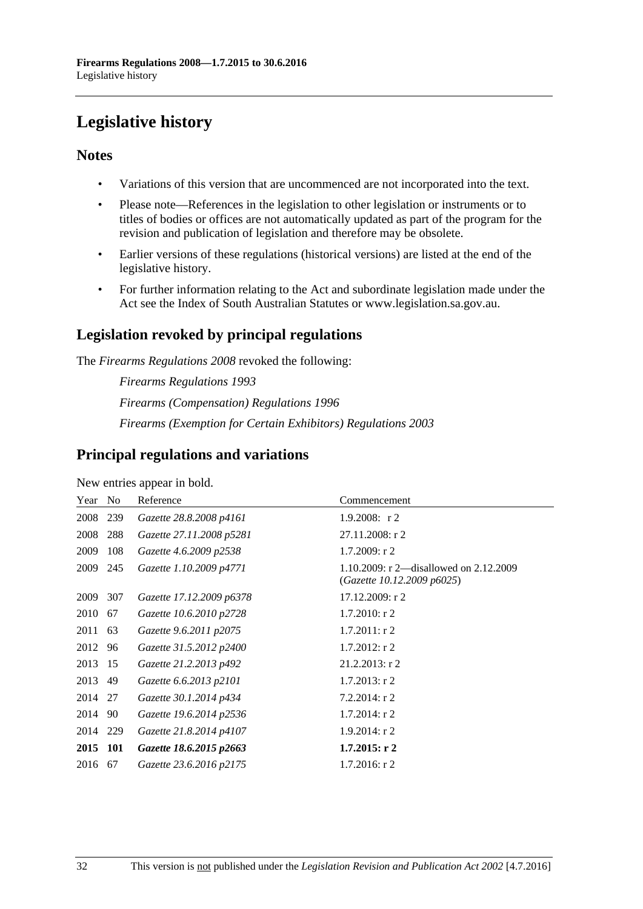# <span id="page-31-0"></span>**Legislative history**

#### **Notes**

- Variations of this version that are uncommenced are not incorporated into the text.
- Please note—References in the legislation to other legislation or instruments or to titles of bodies or offices are not automatically updated as part of the program for the revision and publication of legislation and therefore may be obsolete.
- Earlier versions of these regulations (historical versions) are listed at the end of the legislative history.
- For further information relating to the Act and subordinate legislation made under the Act see the Index of South Australian Statutes or www.legislation.sa.gov.au.

## **Legislation revoked by principal regulations**

The *Firearms Regulations 2008* revoked the following:

*Firearms Regulations 1993 Firearms (Compensation) Regulations 1996 Firearms (Exemption for Certain Exhibitors) Regulations 2003*

### **Principal regulations and variations**

New entries appear in bold.

| Year No  |     | Reference                | Commencement                                                         |
|----------|-----|--------------------------|----------------------------------------------------------------------|
| 2008     | 239 | Gazette 28.8.2008 p4161  | 1.9.2008: $r2$                                                       |
| 2008     | 288 | Gazette 27.11.2008 p5281 | 27.11.2008: r 2                                                      |
| 2009     | 108 | Gazette 4.6.2009 p2538   | $1.7.2009$ : r 2                                                     |
| 2009 245 |     | Gazette 1.10.2009 p4771  | 1.10.2009: r 2—disallowed on 2.12.2009<br>(Gazette 10.12.2009 p6025) |
| 2009 307 |     | Gazette 17.12.2009 p6378 | 17.12.2009: r 2                                                      |
| 2010     | 67  | Gazette 10.6.2010 p2728  | $1.7.2010$ : r 2                                                     |
| 2011 63  |     | Gazette 9.6.2011 p2075   | $1.7.2011:$ r 2                                                      |
| 2012 96  |     | Gazette 31.5.2012 p2400  | $1.7.2012$ : r 2                                                     |
| 2013 15  |     | Gazette 21.2.2013 p492   | $21.2.2013$ : r 2                                                    |
| 2013 49  |     | Gazette 6.6.2013 p2101   | $1.7.2013$ : r 2                                                     |
| 2014 27  |     | Gazette 30.1.2014 p434   | $7.2.2014$ : r 2                                                     |
| 2014 90  |     | Gazette 19.6.2014 p2536  | $1.7.2014$ : r 2                                                     |
| 2014 229 |     | Gazette 21.8.2014 p4107  | $1.9.2014$ : r 2                                                     |
| 2015 101 |     | Gazette 18.6.2015 p2663  | $1.7.2015$ : r 2                                                     |
| 2016     | 67  | Gazette 23.6.2016 p2175  | $1.7.2016$ : r 2                                                     |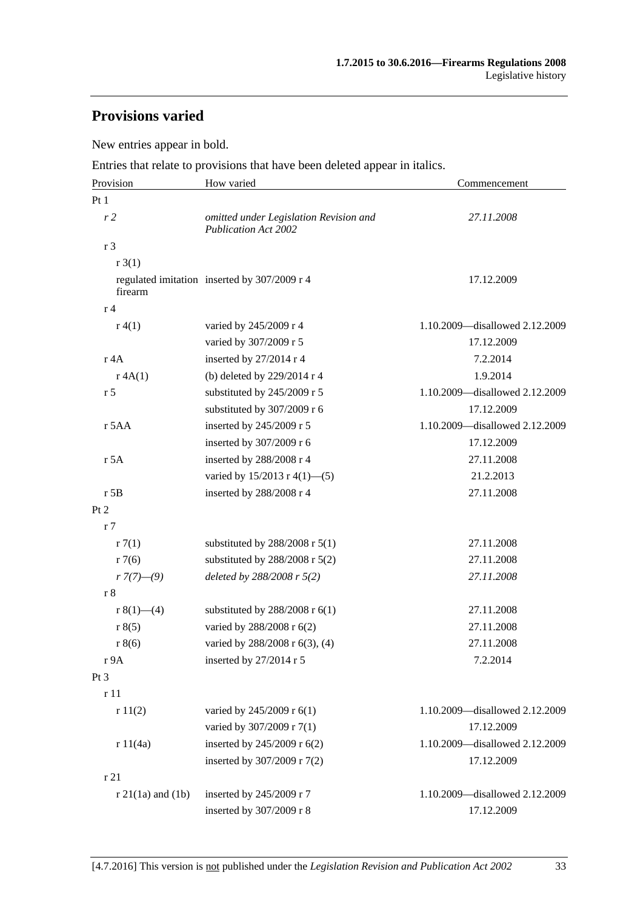## **Provisions varied**

New entries appear in bold.

Entries that relate to provisions that have been deleted appear in italics.

| Provision              | How varied                                                            | Commencement                   |  |
|------------------------|-----------------------------------------------------------------------|--------------------------------|--|
| Pt <sub>1</sub>        |                                                                       |                                |  |
| r <sub>2</sub>         | omitted under Legislation Revision and<br><b>Publication Act 2002</b> | 27.11.2008                     |  |
| r 3                    |                                                                       |                                |  |
| r3(1)                  |                                                                       |                                |  |
| firearm                | regulated imitation inserted by 307/2009 r 4                          | 17.12.2009                     |  |
| r <sub>4</sub>         |                                                                       |                                |  |
| r(4(1)                 | varied by 245/2009 r 4                                                | 1.10.2009-disallowed 2.12.2009 |  |
|                        | varied by 307/2009 r 5                                                | 17.12.2009                     |  |
| r 4A                   | inserted by 27/2014 r 4                                               | 7.2.2014                       |  |
| r 4A(1)                | (b) deleted by 229/2014 r 4                                           | 1.9.2014                       |  |
| r <sub>5</sub>         | substituted by 245/2009 r 5                                           | 1.10.2009-disallowed 2.12.2009 |  |
|                        | substituted by 307/2009 r 6                                           | 17.12.2009                     |  |
| r 5AA                  | inserted by 245/2009 r 5                                              | 1.10.2009—disallowed 2.12.2009 |  |
|                        | inserted by 307/2009 r 6                                              | 17.12.2009                     |  |
| r 5A                   | inserted by 288/2008 r 4                                              | 27.11.2008                     |  |
|                        | varied by $15/2013$ r 4(1)–(5)                                        | 21.2.2013                      |  |
| $r$ 5B                 | inserted by 288/2008 r 4                                              | 27.11.2008                     |  |
| Pt 2                   |                                                                       |                                |  |
| r <sub>7</sub>         |                                                                       |                                |  |
| r7(1)                  | substituted by $288/2008$ r $5(1)$                                    | 27.11.2008                     |  |
| r7(6)                  | substituted by $288/2008$ r $5(2)$                                    | 27.11.2008                     |  |
| $r \frac{7(7)-(9)}{2}$ | deleted by 288/2008 r 5(2)                                            | 27.11.2008                     |  |
| r8                     |                                                                       |                                |  |
| r $8(1)$ (4)           | substituted by $288/2008$ r $6(1)$                                    | 27.11.2008                     |  |
| r 8(5)                 | varied by 288/2008 r 6(2)                                             | 27.11.2008                     |  |
| r 8(6)                 | varied by 288/2008 r 6(3), (4)                                        | 27.11.2008                     |  |
| r9A                    | inserted by 27/2014 r 5                                               | 7.2.2014                       |  |
| Pt 3                   |                                                                       |                                |  |
| r 11                   |                                                                       |                                |  |
| r11(2)                 | varied by 245/2009 r 6(1)                                             | 1.10.2009-disallowed 2.12.2009 |  |
|                        | varied by 307/2009 r 7(1)                                             | 17.12.2009                     |  |
| r 11(4a)               | inserted by 245/2009 r 6(2)                                           | 1.10.2009-disallowed 2.12.2009 |  |
|                        | inserted by 307/2009 r 7(2)                                           | 17.12.2009                     |  |
| r21                    |                                                                       |                                |  |
| $r$ 21(1a) and (1b)    | inserted by 245/2009 r 7                                              | 1.10.2009-disallowed 2.12.2009 |  |
|                        | inserted by 307/2009 r 8                                              | 17.12.2009                     |  |